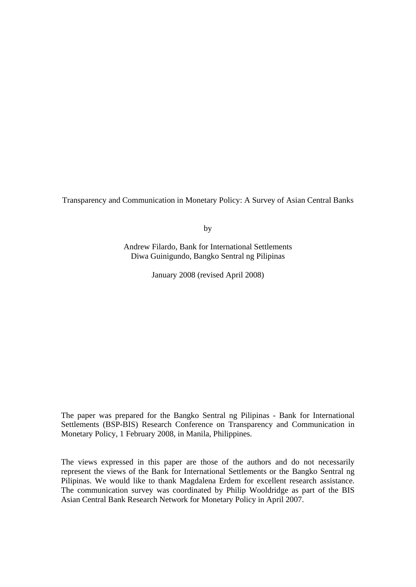Transparency and Communication in Monetary Policy: A Survey of Asian Central Banks

by

Andrew Filardo, Bank for International Settlements Diwa Guinigundo, Bangko Sentral ng Pilipinas

January 2008 (revised April 2008)

The paper was prepared for the Bangko Sentral ng Pilipinas - Bank for International Settlements (BSP-BIS) Research Conference on Transparency and Communication in Monetary Policy, 1 February 2008, in Manila, Philippines.

The views expressed in this paper are those of the authors and do not necessarily represent the views of the Bank for International Settlements or the Bangko Sentral ng Pilipinas. We would like to thank Magdalena Erdem for excellent research assistance. The communication survey was coordinated by Philip Wooldridge as part of the BIS Asian Central Bank Research Network for Monetary Policy in April 2007.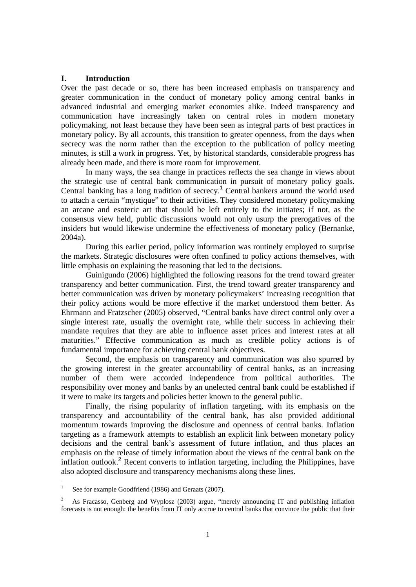## **I. Introduction**

Over the past decade or so, there has been increased emphasis on transparency and greater communication in the conduct of monetary policy among central banks in advanced industrial and emerging market economies alike. Indeed transparency and communication have increasingly taken on central roles in modern monetary policymaking, not least because they have been seen as integral parts of best practices in monetary policy. By all accounts, this transition to greater openness, from the days when secrecy was the norm rather than the exception to the publication of policy meeting minutes, is still a work in progress. Yet, by historical standards, considerable progress has already been made, and there is more room for improvement.

In many ways, the sea change in practices reflects the sea change in views about the strategic use of central bank communication in pursuit of monetary policy goals. Central banking has a long tradition of secrecy.<sup>1</sup> Central bankers around the world used to attach a certain "mystique" to their activities. They considered monetary policymaking an arcane and esoteric art that should be left entirely to the initiates; if not, as the consensus view held, public discussions would not only usurp the prerogatives of the insiders but would likewise undermine the effectiveness of monetary policy (Bernanke, 2004a).

During this earlier period, policy information was routinely employed to surprise the markets. Strategic disclosures were often confined to policy actions themselves, with little emphasis on explaining the reasoning that led to the decisions.

Guinigundo (2006) highlighted the following reasons for the trend toward greater transparency and better communication. First, the trend toward greater transparency and better communication was driven by monetary policymakers' increasing recognition that their policy actions would be more effective if the market understood them better. As Ehrmann and Fratzscher (2005) observed, "Central banks have direct control only over a single interest rate, usually the overnight rate, while their success in achieving their mandate requires that they are able to influence asset prices and interest rates at all maturities." Effective communication as much as credible policy actions is of fundamental importance for achieving central bank objectives.

Second, the emphasis on transparency and communication was also spurred by the growing interest in the greater accountability of central banks, as an increasing number of them were accorded independence from political authorities. The responsibility over money and banks by an unelected central bank could be established if it were to make its targets and policies better known to the general public.

Finally, the rising popularity of inflation targeting, with its emphasis on the transparency and accountability of the central bank, has also provided additional momentum towards improving the disclosure and openness of central banks. Inflation targeting as a framework attempts to establish an explicit link between monetary policy decisions and the central bank's assessment of future inflation, and thus places an emphasis on the release of timely information about the views of the central bank on the inflation outlook.<sup>2</sup> Recent converts to inflation targeting, including the Philippines, have also adopted disclosure and transparency mechanisms along these lines.

 $\frac{1}{1}$ See for example Goodfriend (1986) and Geraats (2007).

<sup>2</sup> As Fracasso, Genberg and Wyplosz (2003) argue, "merely announcing IT and publishing inflation forecasts is not enough: the benefits from IT only accrue to central banks that convince the public that their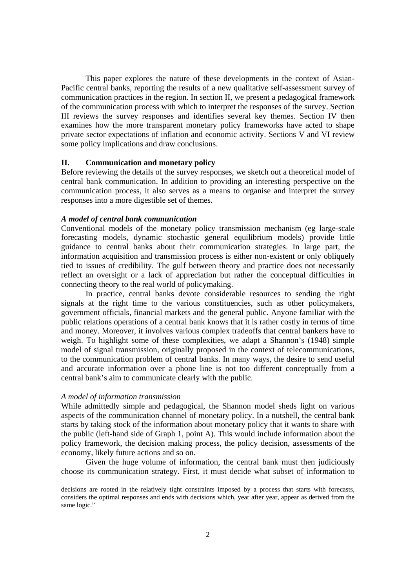This paper explores the nature of these developments in the context of Asian-Pacific central banks, reporting the results of a new qualitative self-assessment survey of communication practices in the region. In section II, we present a pedagogical framework of the communication process with which to interpret the responses of the survey. Section III reviews the survey responses and identifies several key themes. Section IV then examines how the more transparent monetary policy frameworks have acted to shape private sector expectations of inflation and economic activity. Sections V and VI review some policy implications and draw conclusions.

## **II. Communication and monetary policy**

Before reviewing the details of the survey responses, we sketch out a theoretical model of central bank communication. In addition to providing an interesting perspective on the communication process, it also serves as a means to organise and interpret the survey responses into a more digestible set of themes.

## *A model of central bank communication*

Conventional models of the monetary policy transmission mechanism (eg large-scale forecasting models, dynamic stochastic general equilibrium models) provide little guidance to central banks about their communication strategies. In large part, the information acquisition and transmission process is either non-existent or only obliquely tied to issues of credibility. The gulf between theory and practice does not necessarily reflect an oversight or a lack of appreciation but rather the conceptual difficulties in connecting theory to the real world of policymaking.

In practice, central banks devote considerable resources to sending the right signals at the right time to the various constituencies, such as other policymakers, government officials, financial markets and the general public. Anyone familiar with the public relations operations of a central bank knows that it is rather costly in terms of time and money. Moreover, it involves various complex tradeoffs that central bankers have to weigh. To highlight some of these complexities, we adapt a Shannon's (1948) simple model of signal transmission, originally proposed in the context of telecommunications, to the communication problem of central banks. In many ways, the desire to send useful and accurate information over a phone line is not too different conceptually from a central bank's aim to communicate clearly with the public.

#### *A model of information transmission*

While admittedly simple and pedagogical, the Shannon model sheds light on various aspects of the communication channel of monetary policy. In a nutshell, the central bank starts by taking stock of the information about monetary policy that it wants to share with the public (left-hand side of Graph 1, point A). This would include information about the policy framework, the decision making process, the policy decision, assessments of the economy, likely future actions and so on.

Given the huge volume of information, the central bank must then judiciously choose its communication strategy. First, it must decide what subset of information to

decisions are rooted in the relatively tight constraints imposed by a process that starts with forecasts, considers the optimal responses and ends with decisions which, year after year, appear as derived from the same logic."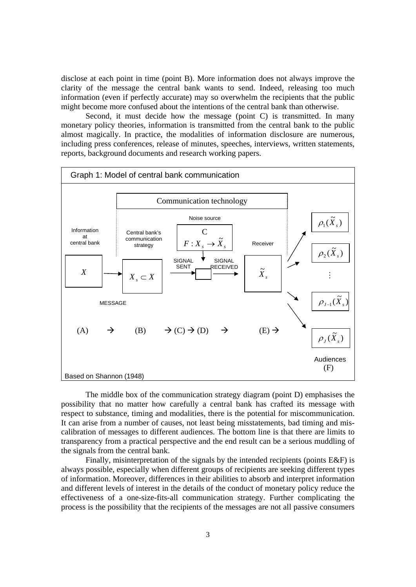disclose at each point in time (point B). More information does not always improve the clarity of the message the central bank wants to send. Indeed, releasing too much information (even if perfectly accurate) may so overwhelm the recipients that the public might become more confused about the intentions of the central bank than otherwise.

Second, it must decide how the message (point C) is transmitted. In many monetary policy theories, information is transmitted from the central bank to the public almost magically. In practice, the modalities of information disclosure are numerous, including press conferences, release of minutes, speeches, interviews, written statements, reports, background documents and research working papers.



The middle box of the communication strategy diagram (point D) emphasises the possibility that no matter how carefully a central bank has crafted its message with respect to substance, timing and modalities, there is the potential for miscommunication. It can arise from a number of causes, not least being misstatements, bad timing and miscalibration of messages to different audiences. The bottom line is that there are limits to transparency from a practical perspective and the end result can be a serious muddling of the signals from the central bank.

Finally, misinterpretation of the signals by the intended recipients (points E&F) is always possible, especially when different groups of recipients are seeking different types of information. Moreover, differences in their abilities to absorb and interpret information and different levels of interest in the details of the conduct of monetary policy reduce the effectiveness of a one-size-fits-all communication strategy. Further complicating the process is the possibility that the recipients of the messages are not all passive consumers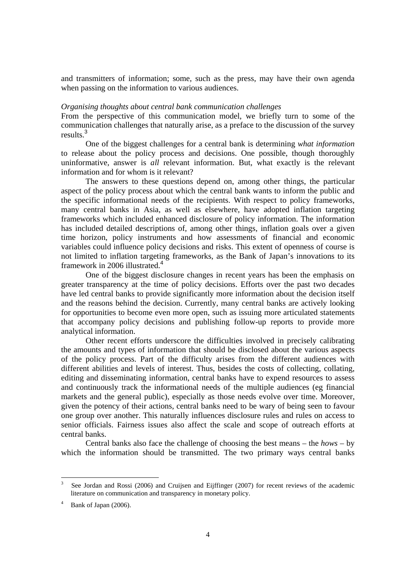and transmitters of information; some, such as the press, may have their own agenda when passing on the information to various audiences.

## *Organising thoughts about central bank communication challenges*

From the perspective of this communication model, we briefly turn to some of the communication challenges that naturally arise, as a preface to the discussion of the survey results.<sup>3</sup>

One of the biggest challenges for a central bank is determining *what information* to release about the policy process and decisions. One possible, though thoroughly uninformative, answer is *all* relevant information. But, what exactly is the relevant information and for whom is it relevant?

The answers to these questions depend on, among other things, the particular aspect of the policy process about which the central bank wants to inform the public and the specific informational needs of the recipients. With respect to policy frameworks, many central banks in Asia, as well as elsewhere, have adopted inflation targeting frameworks which included enhanced disclosure of policy information. The information has included detailed descriptions of, among other things, inflation goals over a given time horizon, policy instruments and how assessments of financial and economic variables could influence policy decisions and risks. This extent of openness of course is not limited to inflation targeting frameworks, as the Bank of Japan's innovations to its framework in 2006 illustrated.<sup>4</sup>

One of the biggest disclosure changes in recent years has been the emphasis on greater transparency at the time of policy decisions. Efforts over the past two decades have led central banks to provide significantly more information about the decision itself and the reasons behind the decision. Currently, many central banks are actively looking for opportunities to become even more open, such as issuing more articulated statements that accompany policy decisions and publishing follow-up reports to provide more analytical information.

Other recent efforts underscore the difficulties involved in precisely calibrating the amounts and types of information that should be disclosed about the various aspects of the policy process. Part of the difficulty arises from the different audiences with different abilities and levels of interest. Thus, besides the costs of collecting, collating, editing and disseminating information, central banks have to expend resources to assess and continuously track the informational needs of the multiple audiences (eg financial markets and the general public), especially as those needs evolve over time. Moreover, given the potency of their actions, central banks need to be wary of being seen to favour one group over another. This naturally influences disclosure rules and rules on access to senior officials. Fairness issues also affect the scale and scope of outreach efforts at central banks.

Central banks also face the challenge of choosing the best means – the *hows* – by which the information should be transmitted. The two primary ways central banks

<sup>3</sup> See Jordan and Rossi (2006) and Cruijsen and Eijffinger (2007) for recent reviews of the academic literature on communication and transparency in monetary policy.

<sup>4</sup> Bank of Japan (2006).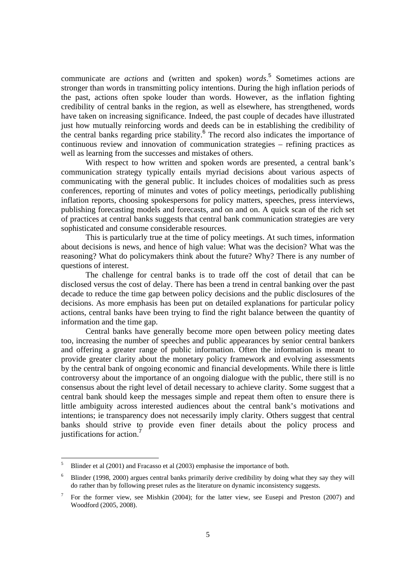communicate are *actions* and (written and spoken) *words*. 5 Sometimes actions are stronger than words in transmitting policy intentions. During the high inflation periods of the past, actions often spoke louder than words. However, as the inflation fighting credibility of central banks in the region, as well as elsewhere, has strengthened, words have taken on increasing significance. Indeed, the past couple of decades have illustrated just how mutually reinforcing words and deeds can be in establishing the credibility of the central banks regarding price stability. $6$  The record also indicates the importance of continuous review and innovation of communication strategies – refining practices as well as learning from the successes and mistakes of others.

With respect to how written and spoken words are presented, a central bank's communication strategy typically entails myriad decisions about various aspects of communicating with the general public. It includes choices of modalities such as press conferences, reporting of minutes and votes of policy meetings, periodically publishing inflation reports, choosing spokespersons for policy matters, speeches, press interviews, publishing forecasting models and forecasts, and on and on. A quick scan of the rich set of practices at central banks suggests that central bank communication strategies are very sophisticated and consume considerable resources.

This is particularly true at the time of policy meetings. At such times, information about decisions is news, and hence of high value: What was the decision? What was the reasoning? What do policymakers think about the future? Why? There is any number of questions of interest.

The challenge for central banks is to trade off the cost of detail that can be disclosed versus the cost of delay. There has been a trend in central banking over the past decade to reduce the time gap between policy decisions and the public disclosures of the decisions. As more emphasis has been put on detailed explanations for particular policy actions, central banks have been trying to find the right balance between the quantity of information and the time gap.

Central banks have generally become more open between policy meeting dates too, increasing the number of speeches and public appearances by senior central bankers and offering a greater range of public information. Often the information is meant to provide greater clarity about the monetary policy framework and evolving assessments by the central bank of ongoing economic and financial developments. While there is little controversy about the importance of an ongoing dialogue with the public, there still is no consensus about the right level of detail necessary to achieve clarity. Some suggest that a central bank should keep the messages simple and repeat them often to ensure there is little ambiguity across interested audiences about the central bank's motivations and intentions; ie transparency does not necessarily imply clarity. Others suggest that central banks should strive to provide even finer details about the policy process and justifications for action.<sup>7</sup>

 $\overline{a}$ 

<sup>5</sup> Blinder et al (2001) and Fracasso et al (2003) emphasise the importance of both.

<sup>6</sup> Blinder (1998, 2000) argues central banks primarily derive credibility by doing what they say they will do rather than by following preset rules as the literature on dynamic inconsistency suggests.

<sup>7</sup> For the former view, see Mishkin (2004); for the latter view, see Eusepi and Preston (2007) and Woodford (2005, 2008).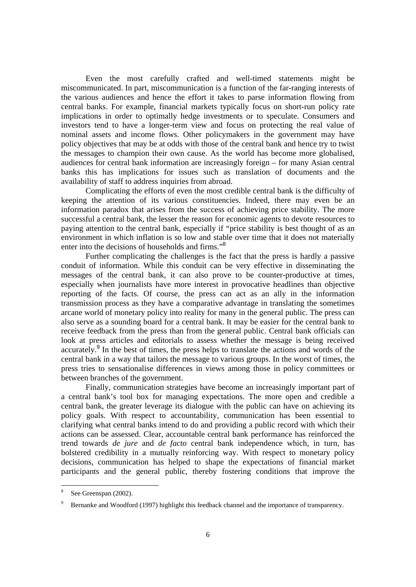Even the most carefully crafted and well-timed statements might be miscommunicated. In part, miscommunication is a function of the far-ranging interests of the various audiences and hence the effort it takes to parse information flowing from central banks. For example, financial markets typically focus on short-run policy rate implications in order to optimally hedge investments or to speculate. Consumers and investors tend to have a longer-term view and focus on protecting the real value of nominal assets and income flows. Other policymakers in the government may have policy objectives that may be at odds with those of the central bank and hence try to twist the messages to champion their own cause. As the world has become more globalised, audiences for central bank information are increasingly foreign – for many Asian central banks this has implications for issues such as translation of documents and the availability of staff to address inquiries from abroad.

Complicating the efforts of even the most credible central bank is the difficulty of keeping the attention of its various constituencies. Indeed, there may even be an information paradox that arises from the success of achieving price stability. The more successful a central bank, the lesser the reason for economic agents to devote resources to paying attention to the central bank, especially if "price stability is best thought of as an environment in which inflation is so low and stable over time that it does not materially enter into the decisions of households and firms."<sup>8</sup>

Further complicating the challenges is the fact that the press is hardly a passive conduit of information. While this conduit can be very effective in disseminating the messages of the central bank, it can also prove to be counter-productive at times, especially when journalists have more interest in provocative headlines than objective reporting of the facts. Of course, the press can act as an ally in the information transmission process as they have a comparative advantage in translating the sometimes arcane world of monetary policy into reality for many in the general public. The press can also serve as a sounding board for a central bank. It may be easier for the central bank to receive feedback from the press than from the general public. Central bank officials can look at press articles and editorials to assess whether the message is being received accurately.<sup>9</sup> In the best of times, the press helps to translate the actions and words of the central bank in a way that tailors the message to various groups. In the worst of times, the press tries to sensationalise differences in views among those in policy committees or between branches of the government.

Finally, communication strategies have become an increasingly important part of a central bank's tool box for managing expectations. The more open and credible a central bank, the greater leverage its dialogue with the public can have on achieving its policy goals. With respect to accountability, communication has been essential to clarifying what central banks intend to do and providing a public record with which their actions can be assessed. Clear, accountable central bank performance has reinforced the trend towards *de jure* and *de facto* central bank independence which, in turn, has bolstered credibility in a mutually reinforcing way. With respect to monetary policy decisions, communication has helped to shape the expectations of financial market participants and the general public, thereby fostering conditions that improve the

 $\overline{a}$ 

<sup>8</sup> See Greenspan (2002).

<sup>9</sup> Bernanke and Woodford (1997) highlight this feedback channel and the importance of transparency.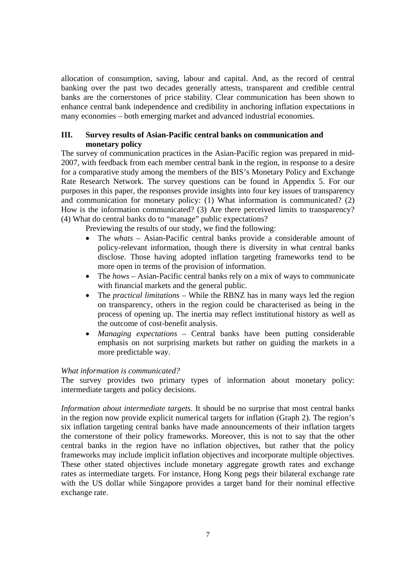allocation of consumption, saving, labour and capital. And, as the record of central banking over the past two decades generally attests, transparent and credible central banks are the cornerstones of price stability. Clear communication has been shown to enhance central bank independence and credibility in anchoring inflation expectations in many economies – both emerging market and advanced industrial economies.

# **III. Survey results of Asian-Pacific central banks on communication and monetary policy**

The survey of communication practices in the Asian-Pacific region was prepared in mid-2007, with feedback from each member central bank in the region, in response to a desire for a comparative study among the members of the BIS's Monetary Policy and Exchange Rate Research Network. The survey questions can be found in Appendix 5. For our purposes in this paper, the responses provide insights into four key issues of transparency and communication for monetary policy: (1) What information is communicated? (2) How is the information communicated? (3) Are there perceived limits to transparency? (4) What do central banks do to "manage" public expectations?

Previewing the results of our study, we find the following:

- The *whats* Asian-Pacific central banks provide a considerable amount of policy-relevant information, though there is diversity in what central banks disclose. Those having adopted inflation targeting frameworks tend to be more open in terms of the provision of information.
- The *hows* Asian-Pacific central banks rely on a mix of ways to communicate with financial markets and the general public.
- The *practical limitations* While the RBNZ has in many ways led the region on transparency, others in the region could be characterised as being in the process of opening up. The inertia may reflect institutional history as well as the outcome of cost-benefit analysis.
- *Managing expectations* Central banks have been putting considerable emphasis on not surprising markets but rather on guiding the markets in a more predictable way.

# *What information is communicated?*

The survey provides two primary types of information about monetary policy: intermediate targets and policy decisions.

*Information about intermediate targets*. It should be no surprise that most central banks in the region now provide explicit numerical targets for inflation (Graph 2). The region's six inflation targeting central banks have made announcements of their inflation targets the cornerstone of their policy frameworks. Moreover, this is not to say that the other central banks in the region have no inflation objectives, but rather that the policy frameworks may include implicit inflation objectives and incorporate multiple objectives. These other stated objectives include monetary aggregate growth rates and exchange rates as intermediate targets. For instance, Hong Kong pegs their bilateral exchange rate with the US dollar while Singapore provides a target band for their nominal effective exchange rate.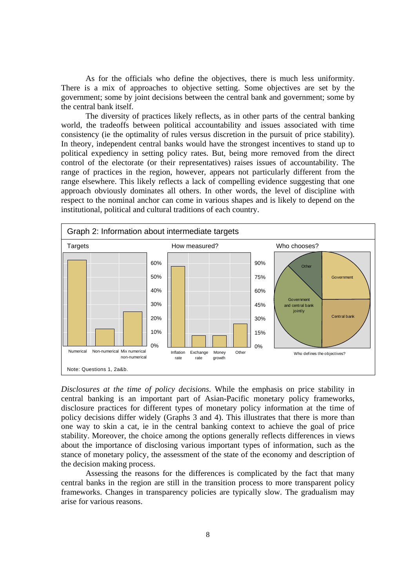As for the officials who define the objectives, there is much less uniformity. There is a mix of approaches to objective setting. Some objectives are set by the government; some by joint decisions between the central bank and government; some by the central bank itself.

The diversity of practices likely reflects, as in other parts of the central banking world, the tradeoffs between political accountability and issues associated with time consistency (ie the optimality of rules versus discretion in the pursuit of price stability). In theory, independent central banks would have the strongest incentives to stand up to political expediency in setting policy rates. But, being more removed from the direct control of the electorate (or their representatives) raises issues of accountability. The range of practices in the region, however, appears not particularly different from the range elsewhere. This likely reflects a lack of compelling evidence suggesting that one approach obviously dominates all others. In other words, the level of discipline with respect to the nominal anchor can come in various shapes and is likely to depend on the institutional, political and cultural traditions of each country.



*Disclosures at the time of policy decisions*. While the emphasis on price stability in central banking is an important part of Asian-Pacific monetary policy frameworks, disclosure practices for different types of monetary policy information at the time of policy decisions differ widely (Graphs 3 and 4). This illustrates that there is more than one way to skin a cat, ie in the central banking context to achieve the goal of price stability. Moreover, the choice among the options generally reflects differences in views about the importance of disclosing various important types of information, such as the stance of monetary policy, the assessment of the state of the economy and description of the decision making process.

Assessing the reasons for the differences is complicated by the fact that many central banks in the region are still in the transition process to more transparent policy frameworks. Changes in transparency policies are typically slow. The gradualism may arise for various reasons.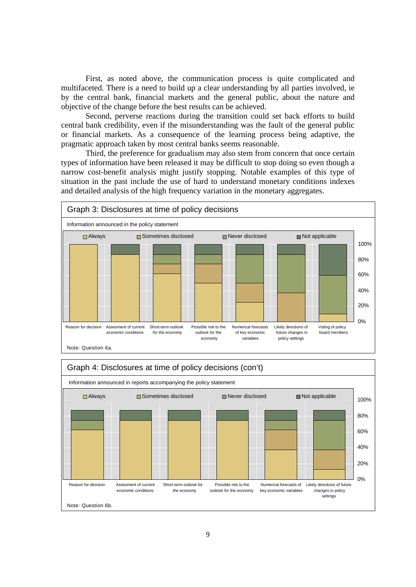First, as noted above, the communication process is quite complicated and multifaceted. There is a need to build up a clear understanding by all parties involved, ie by the central bank, financial markets and the general public, about the nature and objective of the change before the best results can be achieved.

Second, perverse reactions during the transition could set back efforts to build central bank credibility, even if the misunderstanding was the fault of the general public or financial markets. As a consequence of the learning process being adaptive, the pragmatic approach taken by most central banks seems reasonable.

Third, the preference for gradualism may also stem from concern that once certain types of information have been released it may be difficult to stop doing so even though a narrow cost-benefit analysis might justify stopping. Notable examples of this type of situation in the past include the use of hard to understand monetary conditions indexes and detailed analysis of the high frequency variation in the monetary aggregates.



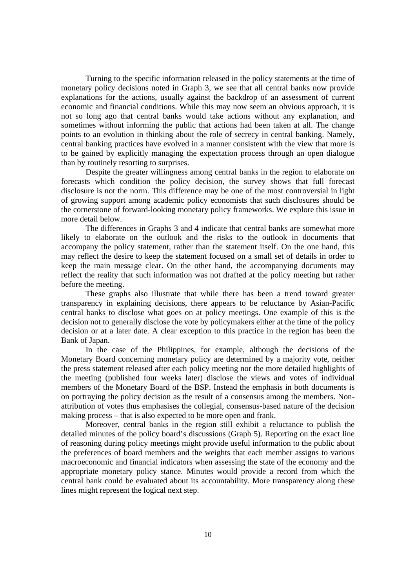Turning to the specific information released in the policy statements at the time of monetary policy decisions noted in Graph 3, we see that all central banks now provide explanations for the actions, usually against the backdrop of an assessment of current economic and financial conditions. While this may now seem an obvious approach, it is not so long ago that central banks would take actions without any explanation, and sometimes without informing the public that actions had been taken at all. The change points to an evolution in thinking about the role of secrecy in central banking. Namely, central banking practices have evolved in a manner consistent with the view that more is to be gained by explicitly managing the expectation process through an open dialogue than by routinely resorting to surprises.

Despite the greater willingness among central banks in the region to elaborate on forecasts which condition the policy decision, the survey shows that full forecast disclosure is not the norm. This difference may be one of the most controversial in light of growing support among academic policy economists that such disclosures should be the cornerstone of forward-looking monetary policy frameworks. We explore this issue in more detail below.

 The differences in Graphs 3 and 4 indicate that central banks are somewhat more likely to elaborate on the outlook and the risks to the outlook in documents that accompany the policy statement, rather than the statement itself. On the one hand, this may reflect the desire to keep the statement focused on a small set of details in order to keep the main message clear. On the other hand, the accompanying documents may reflect the reality that such information was not drafted at the policy meeting but rather before the meeting.

These graphs also illustrate that while there has been a trend toward greater transparency in explaining decisions, there appears to be reluctance by Asian-Pacific central banks to disclose what goes on at policy meetings. One example of this is the decision not to generally disclose the vote by policymakers either at the time of the policy decision or at a later date. A clear exception to this practice in the region has been the Bank of Japan.

In the case of the Philippines, for example, although the decisions of the Monetary Board concerning monetary policy are determined by a majority vote, neither the press statement released after each policy meeting nor the more detailed highlights of the meeting (published four weeks later) disclose the views and votes of individual members of the Monetary Board of the BSP. Instead the emphasis in both documents is on portraying the policy decision as the result of a consensus among the members. Nonattribution of votes thus emphasises the collegial, consensus-based nature of the decision making process – that is also expected to be more open and frank.

 Moreover, central banks in the region still exhibit a reluctance to publish the detailed minutes of the policy board's discussions (Graph 5). Reporting on the exact line of reasoning during policy meetings might provide useful information to the public about the preferences of board members and the weights that each member assigns to various macroeconomic and financial indicators when assessing the state of the economy and the appropriate monetary policy stance. Minutes would provide a record from which the central bank could be evaluated about its accountability. More transparency along these lines might represent the logical next step.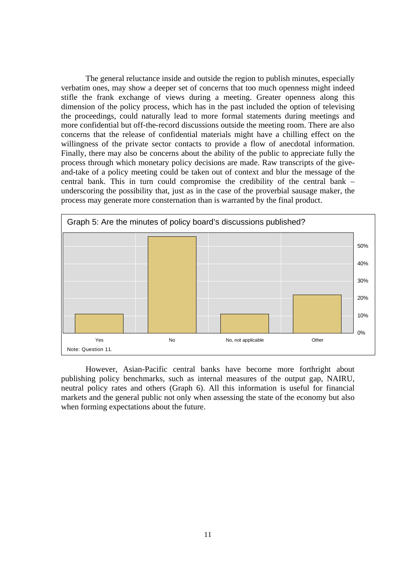The general reluctance inside and outside the region to publish minutes, especially verbatim ones, may show a deeper set of concerns that too much openness might indeed stifle the frank exchange of views during a meeting. Greater openness along this dimension of the policy process, which has in the past included the option of televising the proceedings, could naturally lead to more formal statements during meetings and more confidential but off-the-record discussions outside the meeting room. There are also concerns that the release of confidential materials might have a chilling effect on the willingness of the private sector contacts to provide a flow of anecdotal information. Finally, there may also be concerns about the ability of the public to appreciate fully the process through which monetary policy decisions are made. Raw transcripts of the giveand-take of a policy meeting could be taken out of context and blur the message of the central bank. This in turn could compromise the credibility of the central bank – underscoring the possibility that, just as in the case of the proverbial sausage maker, the process may generate more consternation than is warranted by the final product.



However, Asian-Pacific central banks have become more forthright about publishing policy benchmarks, such as internal measures of the output gap, NAIRU, neutral policy rates and others (Graph 6). All this information is useful for financial markets and the general public not only when assessing the state of the economy but also when forming expectations about the future.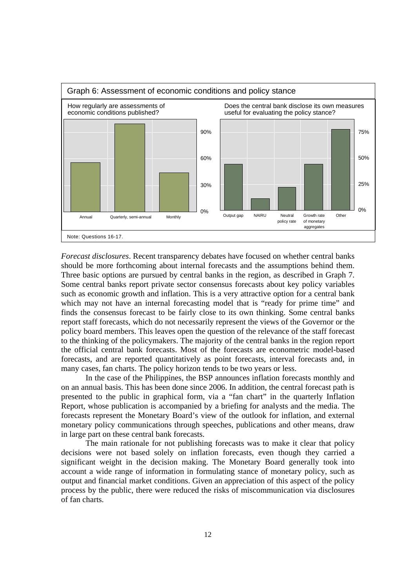

*Forecast disclosures*. Recent transparency debates have focused on whether central banks should be more forthcoming about internal forecasts and the assumptions behind them. Three basic options are pursued by central banks in the region, as described in Graph 7. Some central banks report private sector consensus forecasts about key policy variables such as economic growth and inflation. This is a very attractive option for a central bank which may not have an internal forecasting model that is "ready for prime time" and finds the consensus forecast to be fairly close to its own thinking. Some central banks report staff forecasts, which do not necessarily represent the views of the Governor or the policy board members. This leaves open the question of the relevance of the staff forecast to the thinking of the policymakers. The majority of the central banks in the region report the official central bank forecasts. Most of the forecasts are econometric model-based forecasts, and are reported quantitatively as point forecasts, interval forecasts and, in many cases, fan charts. The policy horizon tends to be two years or less.

 In the case of the Philippines, the BSP announces inflation forecasts monthly and on an annual basis. This has been done since 2006. In addition, the central forecast path is presented to the public in graphical form, via a "fan chart" in the quarterly Inflation Report, whose publication is accompanied by a briefing for analysts and the media. The forecasts represent the Monetary Board's view of the outlook for inflation, and external monetary policy communications through speeches, publications and other means, draw in large part on these central bank forecasts.

The main rationale for not publishing forecasts was to make it clear that policy decisions were not based solely on inflation forecasts, even though they carried a significant weight in the decision making. The Monetary Board generally took into account a wide range of information in formulating stance of monetary policy, such as output and financial market conditions. Given an appreciation of this aspect of the policy process by the public, there were reduced the risks of miscommunication via disclosures of fan charts.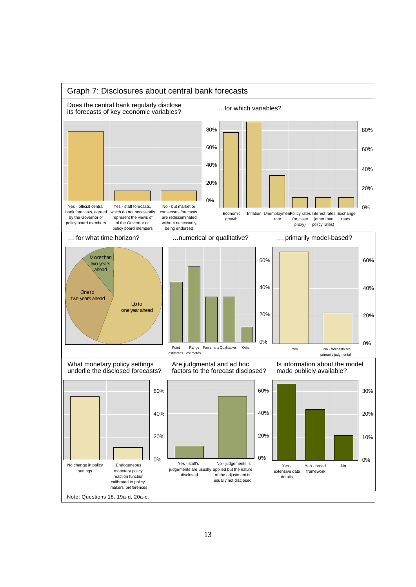

## 13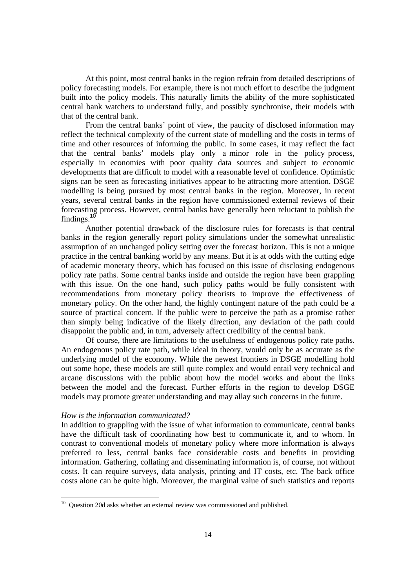At this point, most central banks in the region refrain from detailed descriptions of policy forecasting models. For example, there is not much effort to describe the judgment built into the policy models. This naturally limits the ability of the more sophisticated central bank watchers to understand fully, and possibly synchronise, their models with that of the central bank.

From the central banks' point of view, the paucity of disclosed information may reflect the technical complexity of the current state of modelling and the costs in terms of time and other resources of informing the public. In some cases, it may reflect the fact that the central banks' models play only a minor role in the policy process, especially in economies with poor quality data sources and subject to economic developments that are difficult to model with a reasonable level of confidence. Optimistic signs can be seen as forecasting initiatives appear to be attracting more attention. DSGE modelling is being pursued by most central banks in the region. Moreover, in recent years, several central banks in the region have commissioned external reviews of their forecasting process. However, central banks have generally been reluctant to publish the findings.<sup>10</sup>

Another potential drawback of the disclosure rules for forecasts is that central banks in the region generally report policy simulations under the somewhat unrealistic assumption of an unchanged policy setting over the forecast horizon. This is not a unique practice in the central banking world by any means. But it is at odds with the cutting edge of academic monetary theory, which has focused on this issue of disclosing endogenous policy rate paths. Some central banks inside and outside the region have been grappling with this issue. On the one hand, such policy paths would be fully consistent with recommendations from monetary policy theorists to improve the effectiveness of monetary policy. On the other hand, the highly contingent nature of the path could be a source of practical concern. If the public were to perceive the path as a promise rather than simply being indicative of the likely direction, any deviation of the path could disappoint the public and, in turn, adversely affect credibility of the central bank.

Of course, there are limitations to the usefulness of endogenous policy rate paths. An endogenous policy rate path, while ideal in theory, would only be as accurate as the underlying model of the economy. While the newest frontiers in DSGE modelling hold out some hope, these models are still quite complex and would entail very technical and arcane discussions with the public about how the model works and about the links between the model and the forecast. Further efforts in the region to develop DSGE models may promote greater understanding and may allay such concerns in the future.

## *How is the information communicated?*

In addition to grappling with the issue of what information to communicate, central banks have the difficult task of coordinating how best to communicate it, and to whom. In contrast to conventional models of monetary policy where more information is always preferred to less, central banks face considerable costs and benefits in providing information. Gathering, collating and disseminating information is, of course, not without costs. It can require surveys, data analysis, printing and IT costs, etc. The back office costs alone can be quite high. Moreover, the marginal value of such statistics and reports

<sup>&</sup>lt;sup>10</sup> Question 20d asks whether an external review was commissioned and published.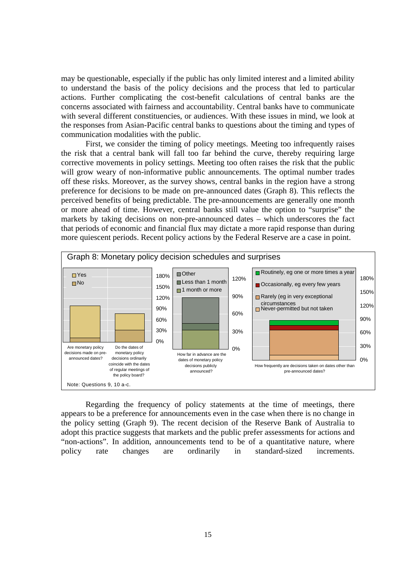may be questionable, especially if the public has only limited interest and a limited ability to understand the basis of the policy decisions and the process that led to particular actions. Further complicating the cost-benefit calculations of central banks are the concerns associated with fairness and accountability. Central banks have to communicate with several different constituencies, or audiences. With these issues in mind, we look at the responses from Asian-Pacific central banks to questions about the timing and types of communication modalities with the public.

First, we consider the timing of policy meetings. Meeting too infrequently raises the risk that a central bank will fall too far behind the curve, thereby requiring large corrective movements in policy settings. Meeting too often raises the risk that the public will grow weary of non-informative public announcements. The optimal number trades off these risks. Moreover, as the survey shows, central banks in the region have a strong preference for decisions to be made on pre-announced dates (Graph 8). This reflects the perceived benefits of being predictable. The pre-announcements are generally one month or more ahead of time. However, central banks still value the option to "surprise" the markets by taking decisions on non-pre-announced dates – which underscores the fact that periods of economic and financial flux may dictate a more rapid response than during more quiescent periods. Recent policy actions by the Federal Reserve are a case in point.



Regarding the frequency of policy statements at the time of meetings, there appears to be a preference for announcements even in the case when there is no change in the policy setting (Graph 9). The recent decision of the Reserve Bank of Australia to adopt this practice suggests that markets and the public prefer assessments for actions and "non-actions". In addition, announcements tend to be of a quantitative nature, where policy rate changes are ordinarily in standard-sized increments.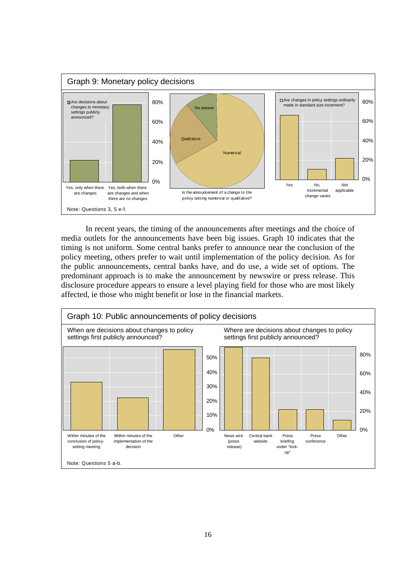

In recent years, the timing of the announcements after meetings and the choice of media outlets for the announcements have been big issues. Graph 10 indicates that the timing is not uniform. Some central banks prefer to announce near the conclusion of the policy meeting, others prefer to wait until implementation of the policy decision. As for the public announcements, central banks have, and do use, a wide set of options. The predominant approach is to make the announcement by newswire or press release. This disclosure procedure appears to ensure a level playing field for those who are most likely affected, ie those who might benefit or lose in the financial markets.

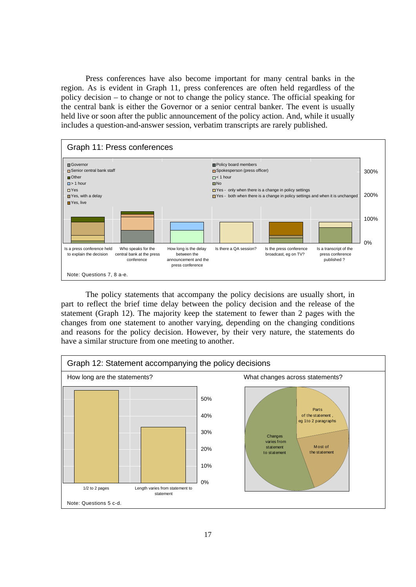Press conferences have also become important for many central banks in the region. As is evident in Graph 11, press conferences are often held regardless of the policy decision – to change or not to change the policy stance. The official speaking for the central bank is either the Governor or a senior central banker. The event is usually held live or soon after the public announcement of the policy action. And, while it usually includes a question-and-answer session, verbatim transcripts are rarely published.



 The policy statements that accompany the policy decisions are usually short, in part to reflect the brief time delay between the policy decision and the release of the statement (Graph 12). The majority keep the statement to fewer than 2 pages with the changes from one statement to another varying, depending on the changing conditions and reasons for the policy decision. However, by their very nature, the statements do have a similar structure from one meeting to another.

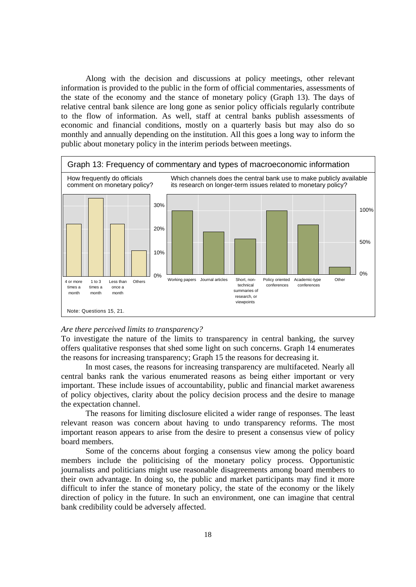Along with the decision and discussions at policy meetings, other relevant information is provided to the public in the form of official commentaries, assessments of the state of the economy and the stance of monetary policy (Graph 13). The days of relative central bank silence are long gone as senior policy officials regularly contribute to the flow of information. As well, staff at central banks publish assessments of economic and financial conditions, mostly on a quarterly basis but may also do so monthly and annually depending on the institution. All this goes a long way to inform the public about monetary policy in the interim periods between meetings.



#### *Are there perceived limits to transparency?*

To investigate the nature of the limits to transparency in central banking, the survey offers qualitative responses that shed some light on such concerns. Graph 14 enumerates the reasons for increasing transparency; Graph 15 the reasons for decreasing it.

 In most cases, the reasons for increasing transparency are multifaceted. Nearly all central banks rank the various enumerated reasons as being either important or very important. These include issues of accountability, public and financial market awareness of policy objectives, clarity about the policy decision process and the desire to manage the expectation channel.

The reasons for limiting disclosure elicited a wider range of responses. The least relevant reason was concern about having to undo transparency reforms. The most important reason appears to arise from the desire to present a consensus view of policy board members.

 Some of the concerns about forging a consensus view among the policy board members include the politicising of the monetary policy process. Opportunistic journalists and politicians might use reasonable disagreements among board members to their own advantage. In doing so, the public and market participants may find it more difficult to infer the stance of monetary policy, the state of the economy or the likely direction of policy in the future. In such an environment, one can imagine that central bank credibility could be adversely affected.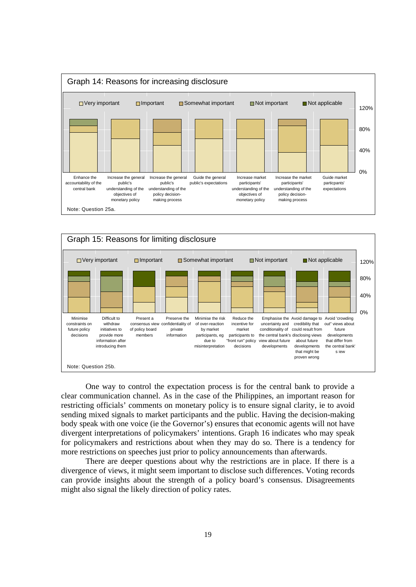



One way to control the expectation process is for the central bank to provide a clear communication channel. As in the case of the Philippines, an important reason for restricting officials' comments on monetary policy is to ensure signal clarity, ie to avoid sending mixed signals to market participants and the public. Having the decision-making body speak with one voice (ie the Governor's) ensures that economic agents will not have divergent interpretations of policymakers' intentions. Graph 16 indicates who may speak for policymakers and restrictions about when they may do so. There is a tendency for more restrictions on speeches just prior to policy announcements than afterwards.

 There are deeper questions about why the restrictions are in place. If there is a divergence of views, it might seem important to disclose such differences. Voting records can provide insights about the strength of a policy board's consensus. Disagreements might also signal the likely direction of policy rates.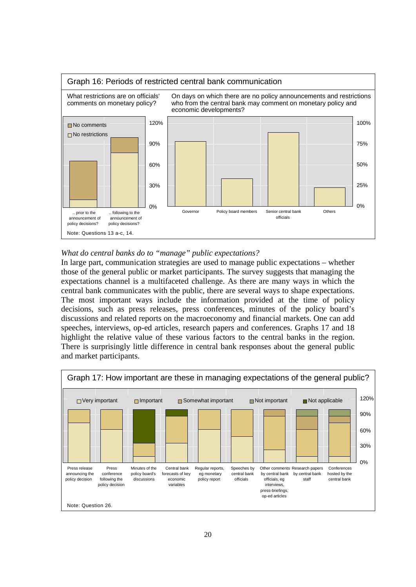

# *What do central banks do to "manage" public expectations?*

In large part, communication strategies are used to manage public expectations – whether those of the general public or market participants. The survey suggests that managing the expectations channel is a multifaceted challenge. As there are many ways in which the central bank communicates with the public, there are several ways to shape expectations. The most important ways include the information provided at the time of policy decisions, such as press releases, press conferences, minutes of the policy board's discussions and related reports on the macroeconomy and financial markets. One can add speeches, interviews, op-ed articles, research papers and conferences. Graphs 17 and 18 highlight the relative value of these various factors to the central banks in the region. There is surprisingly little difference in central bank responses about the general public and market participants.

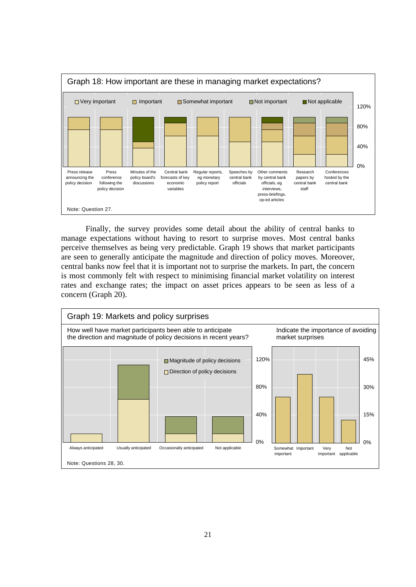

Finally, the survey provides some detail about the ability of central banks to manage expectations without having to resort to surprise moves. Most central banks perceive themselves as being very predictable. Graph 19 shows that market participants are seen to generally anticipate the magnitude and direction of policy moves. Moreover, central banks now feel that it is important not to surprise the markets. In part, the concern is most commonly felt with respect to minimising financial market volatility on interest rates and exchange rates; the impact on asset prices appears to be seen as less of a concern (Graph 20).

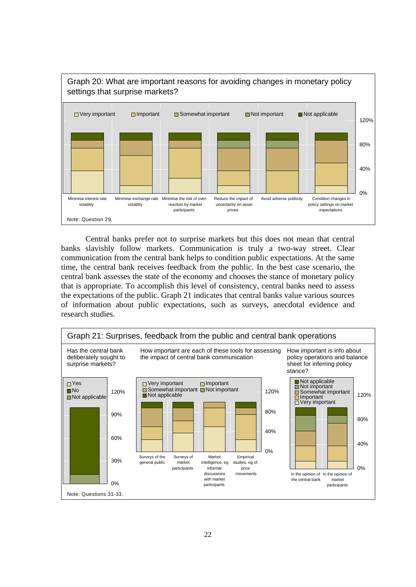

 Central banks prefer not to surprise markets but this does not mean that central banks slavishly follow markets. Communication is truly a two-way street. Clear communication from the central bank helps to condition public expectations. At the same time, the central bank receives feedback from the public. In the best case scenario, the central bank assesses the state of the economy and chooses the stance of monetary policy that is appropriate. To accomplish this level of consistency, central banks need to assess the expectations of the public. Graph 21 indicates that central banks value various sources of information about public expectations, such as surveys, anecdotal evidence and research studies.

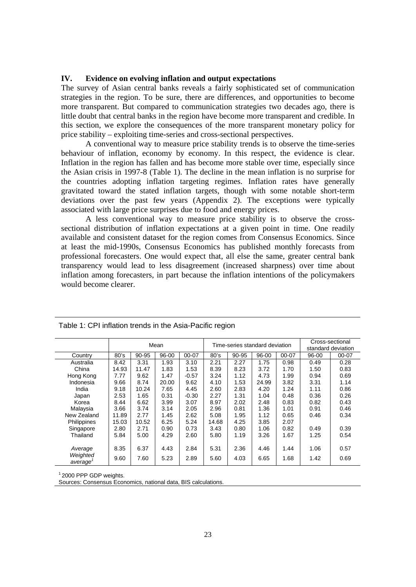## **IV. Evidence on evolving inflation and output expectations**

The survey of Asian central banks reveals a fairly sophisticated set of communication strategies in the region. To be sure, there are differences, and opportunities to become more transparent. But compared to communication strategies two decades ago, there is little doubt that central banks in the region have become more transparent and credible. In this section, we explore the consequences of the more transparent monetary policy for price stability – exploiting time-series and cross-sectional perspectives.

A conventional way to measure price stability trends is to observe the time-series behaviour of inflation, economy by economy. In this respect, the evidence is clear. Inflation in the region has fallen and has become more stable over time, especially since the Asian crisis in 1997-8 (Table 1). The decline in the mean inflation is no surprise for the countries adopting inflation targeting regimes. Inflation rates have generally gravitated toward the stated inflation targets, though with some notable short-term deviations over the past few years (Appendix 2). The exceptions were typically associated with large price surprises due to food and energy prices.

A less conventional way to measure price stability is to observe the crosssectional distribution of inflation expectations at a given point in time. One readily available and consistent dataset for the region comes from Consensus Economics. Since at least the mid-1990s, Consensus Economics has published monthly forecasts from professional forecasters. One would expect that, all else the same, greater central bank transparency would lead to less disagreement (increased sharpness) over time about inflation among forecasters, in part because the inflation intentions of the policymakers would become clearer.

|                      |       | Mean  |       |         |       | Time-series standard deviation |       |       |       | Cross-sectional    |  |
|----------------------|-------|-------|-------|---------|-------|--------------------------------|-------|-------|-------|--------------------|--|
|                      |       |       |       |         |       |                                |       |       |       | standard deviation |  |
| Country              | 80's  | 90-95 | 96-00 | 00-07   | 80's  | 90-95                          | 96-00 | 00-07 | 96-00 | 00-07              |  |
| Australia            | 8.42  | 3.31  | 1.93  | 3.10    | 2.21  | 2.27                           | 1.75  | 0.98  | 0.49  | 0.28               |  |
| China                | 14.93 | 11.47 | 1.83  | 1.53    | 8.39  | 8.23                           | 3.72  | 1.70  | 1.50  | 0.83               |  |
| Hong Kong            | 7.77  | 9.62  | 1.47  | $-0.57$ | 3.24  | 1.12                           | 4.73  | 1.99  | 0.94  | 0.69               |  |
| Indonesia            | 9.66  | 8.74  | 20.00 | 9.62    | 4.10  | 1.53                           | 24.99 | 3.82  | 3.31  | 1.14               |  |
| India                | 9.18  | 10.24 | 7.65  | 4.45    | 2.60  | 2.83                           | 4.20  | 1.24  | 1.11  | 0.86               |  |
| Japan                | 2.53  | 1.65  | 0.31  | $-0.30$ | 2.27  | 1.31                           | 1.04  | 0.48  | 0.36  | 0.26               |  |
| Korea                | 8.44  | 6.62  | 3.99  | 3.07    | 8.97  | 2.02                           | 2.48  | 0.83  | 0.82  | 0.43               |  |
| Malaysia             | 3.66  | 3.74  | 3.14  | 2.05    | 2.96  | 0.81                           | 1.36  | 1.01  | 0.91  | 0.46               |  |
| New Zealand          | 11.89 | 2.77  | 1.45  | 2.62    | 5.08  | 1.95                           | 1.12  | 0.65  | 0.46  | 0.34               |  |
| Philippines          | 15.03 | 10.52 | 6.25  | 5.24    | 14.68 | 4.25                           | 3.85  | 2.07  |       |                    |  |
| Singapore            | 2.80  | 2.71  | 0.90  | 0.73    | 3.43  | 0.80                           | 1.06  | 0.82  | 0.49  | 0.39               |  |
| Thailand             | 5.84  | 5.00  | 4.29  | 2.60    | 5.80  | 1.19                           | 3.26  | 1.67  | 1.25  | 0.54               |  |
|                      |       |       |       |         |       |                                |       |       |       |                    |  |
| Average              | 8.35  | 6.37  | 4.43  | 2.84    | 5.31  | 2.36                           | 4.46  | 1.44  | 1.06  | 0.57               |  |
| Weighted             | 9.60  | 7.60  | 5.23  | 2.89    | 5.60  | 4.03                           | 6.65  | 1.68  | 1.42  | 0.69               |  |
| average <sup>1</sup> |       |       |       |         |       |                                |       |       |       |                    |  |

Table 1: CPI inflation trends in the Asia-Pacific region

1 2000 PPP GDP weights.

Sources: Consensus Economics, national data, BIS calculations.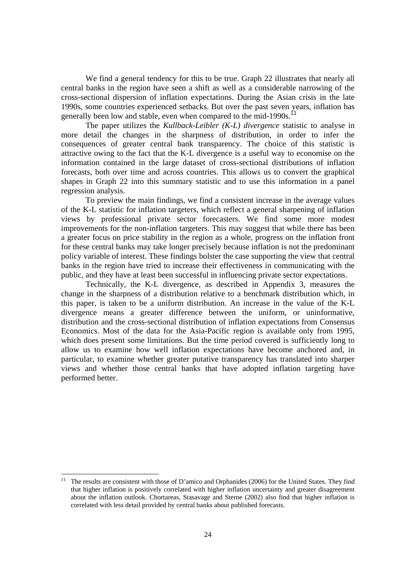We find a general tendency for this to be true. Graph 22 illustrates that nearly all central banks in the region have seen a shift as well as a considerable narrowing of the cross-sectional dispersion of inflation expectations. During the Asian crisis in the late 1990s, some countries experienced setbacks. But over the past seven years, inflation has generally been low and stable, even when compared to the mid-1990s.<sup>11</sup>

The paper utilizes the *Kullback-Leibler (K-L) divergence* statistic to analyse in more detail the changes in the sharpness of distribution, in order to infer the consequences of greater central bank transparency. The choice of this statistic is attractive owing to the fact that the K-L divergence is a useful way to economise on the information contained in the large dataset of cross-sectional distributions of inflation forecasts, both over time and across countries. This allows us to convert the graphical shapes in Graph 22 into this summary statistic and to use this information in a panel regression analysis.

To preview the main findings, we find a consistent increase in the average values of the K-L statistic for inflation targeters, which reflect a general sharpening of inflation views by professional private sector forecasters. We find some more modest improvements for the non-inflation targeters. This may suggest that while there has been a greater focus on price stability in the region as a whole, progress on the inflation front for these central banks may take longer precisely because inflation is not the predominant policy variable of interest. These findings bolster the case supporting the view that central banks in the region have tried to increase their effectiveness in communicating with the public, and they have at least been successful in influencing private sector expectations.

Technically, the K-L divergence, as described in Appendix 3, measures the change in the sharpness of a distribution relative to a benchmark distribution which, in this paper, is taken to be a uniform distribution. An increase in the value of the K-L divergence means a greater difference between the uniform, or uninformative, distribution and the cross-sectional distribution of inflation expectations from Consensus Economics. Most of the data for the Asia-Pacific region is available only from 1995, which does present some limitations. But the time period covered is sufficiently long to allow us to examine how well inflation expectations have become anchored and, in particular, to examine whether greater putative transparency has translated into sharper views and whether those central banks that have adopted inflation targeting have performed better.

l

<sup>11</sup> The results are consistent with those of D'amico and Orphanides (2006) for the United States. They find that higher inflation is positively correlated with higher inflation uncertainty and greater disagreement about the inflation outlook. Chortareas, Stasavage and Sterne (2002) also find that higher inflation is correlated with less detail provided by central banks about published forecasts.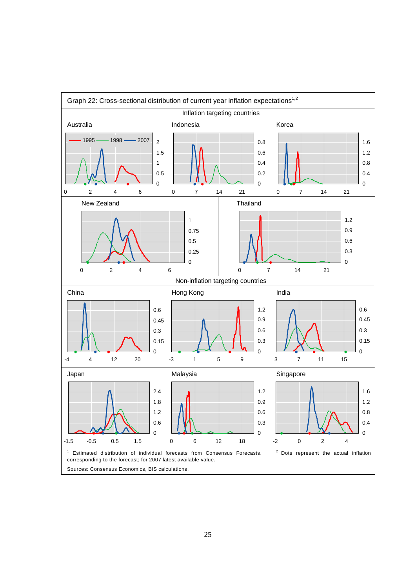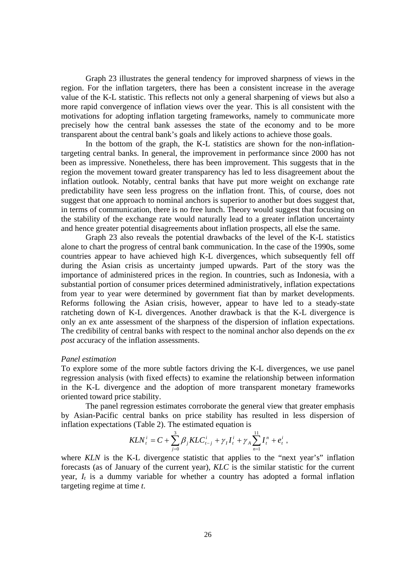Graph 23 illustrates the general tendency for improved sharpness of views in the region. For the inflation targeters, there has been a consistent increase in the average value of the K-L statistic. This reflects not only a general sharpening of views but also a more rapid convergence of inflation views over the year. This is all consistent with the motivations for adopting inflation targeting frameworks, namely to communicate more precisely how the central bank assesses the state of the economy and to be more transparent about the central bank's goals and likely actions to achieve those goals.

In the bottom of the graph, the K-L statistics are shown for the non-inflationtargeting central banks. In general, the improvement in performance since 2000 has not been as impressive. Nonetheless, there has been improvement. This suggests that in the region the movement toward greater transparency has led to less disagreement about the inflation outlook. Notably, central banks that have put more weight on exchange rate predictability have seen less progress on the inflation front. This, of course, does not suggest that one approach to nominal anchors is superior to another but does suggest that, in terms of communication, there is no free lunch. Theory would suggest that focusing on the stability of the exchange rate would naturally lead to a greater inflation uncertainty and hence greater potential disagreements about inflation prospects, all else the same.

 Graph 23 also reveals the potential drawbacks of the level of the K-L statistics alone to chart the progress of central bank communication. In the case of the 1990s, some countries appear to have achieved high K-L divergences, which subsequently fell off during the Asian crisis as uncertainty jumped upwards. Part of the story was the importance of administered prices in the region. In countries, such as Indonesia, with a substantial portion of consumer prices determined administratively, inflation expectations from year to year were determined by government fiat than by market developments. Reforms following the Asian crisis, however, appear to have led to a steady-state ratcheting down of K-L divergences. Another drawback is that the K-L divergence is only an ex ante assessment of the sharpness of the dispersion of inflation expectations. The credibility of central banks with respect to the nominal anchor also depends on the *ex post* accuracy of the inflation assessments.

#### *Panel estimation*

To explore some of the more subtle factors driving the K-L divergences, we use panel regression analysis (with fixed effects) to examine the relationship between information in the K-L divergence and the adoption of more transparent monetary frameworks oriented toward price stability.

The panel regression estimates corroborate the general view that greater emphasis by Asian-Pacific central banks on price stability has resulted in less dispersion of inflation expectations (Table 2). The estimated equation is

$$
KLN_i^i = C + \sum_{j=0}^3 \beta_j KLC_{i-j}^i + \gamma_I I_i^i + \gamma_A \sum_{n=1}^{11} I_i^n + e_i^i,
$$

where *KLN* is the K-L divergence statistic that applies to the "next year's" inflation forecasts (as of January of the current year), *KLC* is the similar statistic for the current year, *It* is a dummy variable for whether a country has adopted a formal inflation targeting regime at time *t*.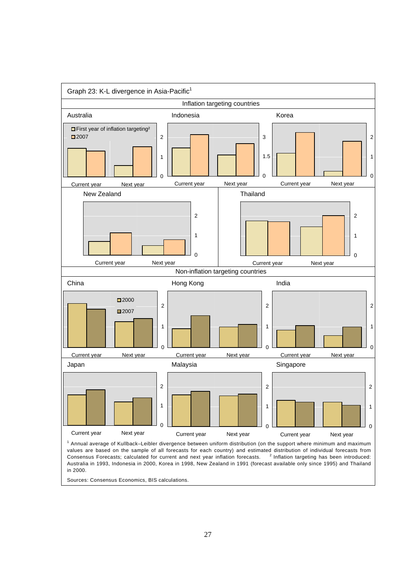

Sources: Consensus Economics, BIS calculations.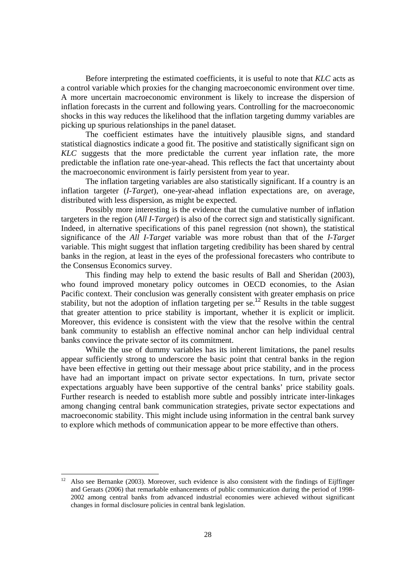Before interpreting the estimated coefficients, it is useful to note that *KLC* acts as a control variable which proxies for the changing macroeconomic environment over time. A more uncertain macroeconomic environment is likely to increase the dispersion of inflation forecasts in the current and following years. Controlling for the macroeconomic shocks in this way reduces the likelihood that the inflation targeting dummy variables are picking up spurious relationships in the panel dataset.

The coefficient estimates have the intuitively plausible signs, and standard statistical diagnostics indicate a good fit. The positive and statistically significant sign on *KLC* suggests that the more predictable the current year inflation rate, the more predictable the inflation rate one-year-ahead. This reflects the fact that uncertainty about the macroeconomic environment is fairly persistent from year to year.

The inflation targeting variables are also statistically significant. If a country is an inflation targeter (*I-Target*), one-year-ahead inflation expectations are, on average, distributed with less dispersion, as might be expected.

Possibly more interesting is the evidence that the cumulative number of inflation targeters in the region (*All I-Target*) is also of the correct sign and statistically significant. Indeed, in alternative specifications of this panel regression (not shown), the statistical significance of the *All I-Target* variable was more robust than that of the *I-Target* variable. This might suggest that inflation targeting credibility has been shared by central banks in the region, at least in the eyes of the professional forecasters who contribute to the Consensus Economics survey.

This finding may help to extend the basic results of Ball and Sheridan (2003), who found improved monetary policy outcomes in OECD economies, to the Asian Pacific context. Their conclusion was generally consistent with greater emphasis on price stability, but not the adoption of inflation targeting per se.<sup>12</sup> Results in the table suggest that greater attention to price stability is important, whether it is explicit or implicit. Moreover, this evidence is consistent with the view that the resolve within the central bank community to establish an effective nominal anchor can help individual central banks convince the private sector of its commitment.

While the use of dummy variables has its inherent limitations, the panel results appear sufficiently strong to underscore the basic point that central banks in the region have been effective in getting out their message about price stability, and in the process have had an important impact on private sector expectations. In turn, private sector expectations arguably have been supportive of the central banks' price stability goals. Further research is needed to establish more subtle and possibly intricate inter-linkages among changing central bank communication strategies, private sector expectations and macroeconomic stability. This might include using information in the central bank survey to explore which methods of communication appear to be more effective than others.

l

 $12$  Also see Bernanke (2003). Moreover, such evidence is also consistent with the findings of Eijffinger and Geraats (2006) that remarkable enhancements of public communication during the period of 1998- 2002 among central banks from advanced industrial economies were achieved without significant changes in formal disclosure policies in central bank legislation.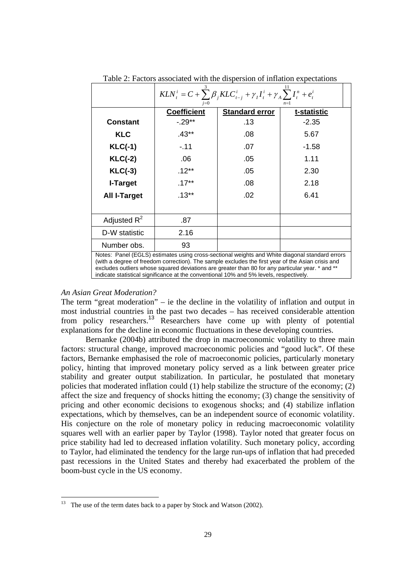|                                                                                                                                                                                                                                                                                                                                                                                                   | $KLN_{t}^{i} = C + \sum_{i} \beta_{i} KLC_{t-j}^{i} + \gamma_{i} I_{t}^{i} + \gamma_{A} \sum_{i} I_{t}^{n} + e_{t}^{i}$<br>$n=1$ |                       |             |  |  |  |  |
|---------------------------------------------------------------------------------------------------------------------------------------------------------------------------------------------------------------------------------------------------------------------------------------------------------------------------------------------------------------------------------------------------|----------------------------------------------------------------------------------------------------------------------------------|-----------------------|-------------|--|--|--|--|
|                                                                                                                                                                                                                                                                                                                                                                                                   | <b>Coefficient</b>                                                                                                               | <b>Standard error</b> | t-statistic |  |  |  |  |
| <b>Constant</b>                                                                                                                                                                                                                                                                                                                                                                                   | $-0.29**$                                                                                                                        | .13                   | $-2.35$     |  |  |  |  |
| <b>KLC</b>                                                                                                                                                                                                                                                                                                                                                                                        | $.43**$                                                                                                                          | .08                   | 5.67        |  |  |  |  |
| $KLC(-1)$                                                                                                                                                                                                                                                                                                                                                                                         | $-11$                                                                                                                            | .07                   | $-1.58$     |  |  |  |  |
| $KLC(-2)$                                                                                                                                                                                                                                                                                                                                                                                         | .06                                                                                                                              | .05                   | 1.11        |  |  |  |  |
| $KLC(-3)$                                                                                                                                                                                                                                                                                                                                                                                         | $.12***$                                                                                                                         | .05                   | 2.30        |  |  |  |  |
| I-Target                                                                                                                                                                                                                                                                                                                                                                                          | $.17***$                                                                                                                         | .08                   | 2.18        |  |  |  |  |
| <b>All I-Target</b>                                                                                                                                                                                                                                                                                                                                                                               | $.13***$                                                                                                                         | .02                   | 6.41        |  |  |  |  |
|                                                                                                                                                                                                                                                                                                                                                                                                   |                                                                                                                                  |                       |             |  |  |  |  |
| Adjusted $R^2$                                                                                                                                                                                                                                                                                                                                                                                    | .87                                                                                                                              |                       |             |  |  |  |  |
| D-W statistic                                                                                                                                                                                                                                                                                                                                                                                     | 2.16                                                                                                                             |                       |             |  |  |  |  |
| Number obs.                                                                                                                                                                                                                                                                                                                                                                                       | 93                                                                                                                               |                       |             |  |  |  |  |
| Notes: Panel (EGLS) estimates using cross-sectional weights and White diagonal standard errors<br>(with a degree of freedom correction). The sample excludes the first year of the Asian crisis and<br>excludes outliers whose squared deviations are greater than 80 for any particular year. * and **<br>indicate statistical significance at the conventional 10% and 5% levels, respectively. |                                                                                                                                  |                       |             |  |  |  |  |

Table 2: Factors associated with the dispersion of inflation expectations

#### *An Asian Great Moderation?*

The term "great moderation" – ie the decline in the volatility of inflation and output in most industrial countries in the past two decades – has received considerable attention from policy researchers.<sup>13</sup> Researchers have come up with plenty of potential explanations for the decline in economic fluctuations in these developing countries.

Bernanke (2004b) attributed the drop in macroeconomic volatility to three main factors: structural change, improved macroeconomic policies and "good luck". Of these factors, Bernanke emphasised the role of macroeconomic policies, particularly monetary policy, hinting that improved monetary policy served as a link between greater price stability and greater output stabilization. In particular, he postulated that monetary policies that moderated inflation could (1) help stabilize the structure of the economy; (2) affect the size and frequency of shocks hitting the economy; (3) change the sensitivity of pricing and other economic decisions to exogenous shocks; and (4) stabilize inflation expectations, which by themselves, can be an independent source of economic volatility. His conjecture on the role of monetary policy in reducing macroeconomic volatility squares well with an earlier paper by Taylor (1998). Taylor noted that greater focus on price stability had led to decreased inflation volatility. Such monetary policy, according to Taylor, had eliminated the tendency for the large run-ups of inflation that had preceded past recessions in the United States and thereby had exacerbated the problem of the boom-bust cycle in the US economy.

<sup>&</sup>lt;sup>13</sup> The use of the term dates back to a paper by Stock and Watson (2002).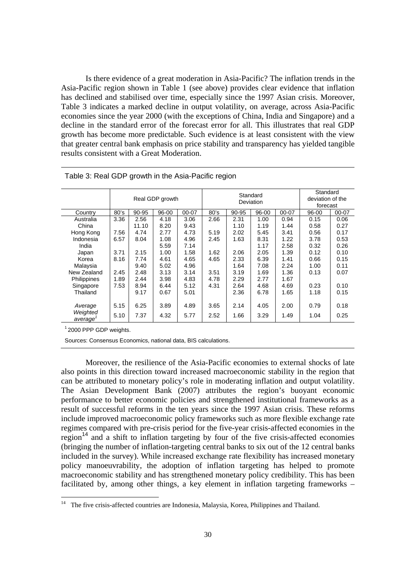Is there evidence of a great moderation in Asia-Pacific? The inflation trends in the Asia-Pacific region shown in Table 1 (see above) provides clear evidence that inflation has declined and stabilised over time, especially since the 1997 Asian crisis. Moreover, Table 3 indicates a marked decline in output volatility, on average, across Asia-Pacific economies since the year 2000 (with the exceptions of China, India and Singapore) and a decline in the standard error of the forecast error for all. This illustrates that real GDP growth has become more predictable. Such evidence is at least consistent with the view that greater central bank emphasis on price stability and transparency has yielded tangible results consistent with a Great Moderation.

|                      | Real GDP growth |       |       |       | Standard<br>Deviation | Standard<br>deviation of the<br>forecast |       |       |       |       |
|----------------------|-----------------|-------|-------|-------|-----------------------|------------------------------------------|-------|-------|-------|-------|
| Country              | 80's            | 90-95 | 96-00 | 00-07 | 80's                  | 90-95                                    | 96-00 | 00-07 | 96-00 | 00-07 |
| Australia            | 3.36            | 2.56  | 4.18  | 3.06  | 2.66                  | 2.31                                     | 1.00  | 0.94  | 0.15  | 0.06  |
| China                |                 | 11.10 | 8.20  | 9.43  |                       | 1.10                                     | 1.19  | 1.44  | 0.58  | 0.27  |
| Hong Kong            | 7.56            | 4.74  | 2.77  | 4.73  | 5.19                  | 2.02                                     | 5.45  | 3.41  | 0.56  | 0.17  |
| Indonesia            | 6.57            | 8.04  | 1.08  | 4.96  | 2.45                  | 1.63                                     | 8.31  | 1.22  | 3.78  | 0.53  |
| India                |                 |       | 5.59  | 7.14  |                       |                                          | 1.17  | 2.58  | 0.32  | 0.26  |
| Japan                | 3.71            | 2.15  | 1.00  | 1.58  | 1.62                  | 2.06                                     | 2.05  | 1.39  | 0.12  | 0.10  |
| Korea                | 8.16            | 7.74  | 4.61  | 4.65  | 4.65                  | 2.33                                     | 6.39  | 1.41  | 0.66  | 0.15  |
| Malaysia             |                 | 9.40  | 5.02  | 4.96  |                       | 1.64                                     | 7.08  | 2.24  | 1.00  | 0.11  |
| New Zealand          | 2.45            | 2.48  | 3.13  | 3.14  | 3.51                  | 3.19                                     | 1.69  | 1.36  | 0.13  | 0.07  |
| Philippines          | 1.89            | 2.44  | 3.98  | 4.83  | 4.78                  | 2.29                                     | 2.77  | 1.67  |       |       |
| Singapore            | 7.53            | 8.94  | 6.44  | 5.12  | 4.31                  | 2.64                                     | 4.68  | 4.69  | 0.23  | 0.10  |
| Thailand             |                 | 9.17  | 0.67  | 5.01  |                       | 2.36                                     | 6.78  | 1.65  | 1.18  | 0.15  |
|                      |                 |       |       |       |                       |                                          |       |       |       |       |
| Average              | 5.15            | 6.25  | 3.89  | 4.89  | 3.65                  | 2.14                                     | 4.05  | 2.00  | 0.79  | 0.18  |
| Weighted<br>average' | 5.10            | 7.37  | 4.32  | 5.77  | 2.52                  | 1.66                                     | 3.29  | 1.49  | 1.04  | 0.25  |

| Table 3: Real GDP growth in the Asia-Pacific region |  |  |  |
|-----------------------------------------------------|--|--|--|
|                                                     |  |  |  |

<sup>1</sup> 2000 PPP GDP weights.

Sources: Consensus Economics, national data, BIS calculations.

Moreover, the resilience of the Asia-Pacific economies to external shocks of late also points in this direction toward increased macroeconomic stability in the region that can be attributed to monetary policy's role in moderating inflation and output volatility. The Asian Development Bank (2007) attributes the region's buoyant economic performance to better economic policies and strengthened institutional frameworks as a result of successful reforms in the ten years since the 1997 Asian crisis. These reforms include improved macroeconomic policy frameworks such as more flexible exchange rate regimes compared with pre-crisis period for the five-year crisis-affected economies in the region<sup>14</sup> and a shift to inflation targeting by four of the five crisis-affected economies (bringing the number of inflation-targeting central banks to six out of the 12 central banks included in the survey). While increased exchange rate flexibility has increased monetary policy manoeuvrability, the adoption of inflation targeting has helped to promote macroeconomic stability and has strengthened monetary policy credibility. This has been facilitated by, among other things, a key element in inflation targeting frameworks –

<sup>&</sup>lt;sup>14</sup> The five crisis-affected countries are Indonesia, Malaysia, Korea, Philippines and Thailand.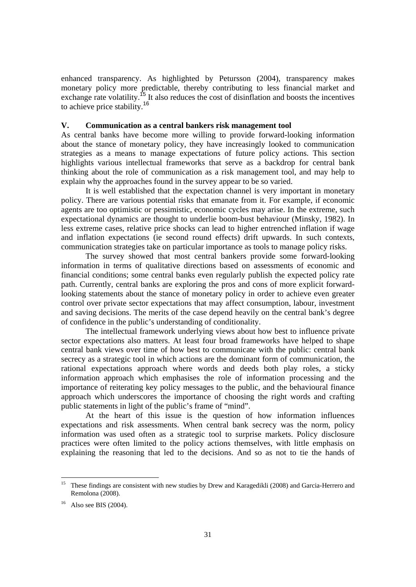enhanced transparency. As highlighted by Petursson (2004), transparency makes monetary policy more predictable, thereby contributing to less financial market and exchange rate volatility.<sup>15</sup> It also reduces the cost of disinflation and boosts the incentives to achieve price stability.<sup>16</sup>

## **V. Communication as a central bankers risk management tool**

As central banks have become more willing to provide forward-looking information about the stance of monetary policy, they have increasingly looked to communication strategies as a means to manage expectations of future policy actions. This section highlights various intellectual frameworks that serve as a backdrop for central bank thinking about the role of communication as a risk management tool, and may help to explain why the approaches found in the survey appear to be so varied.

It is well established that the expectation channel is very important in monetary policy. There are various potential risks that emanate from it. For example, if economic agents are too optimistic or pessimistic, economic cycles may arise. In the extreme, such expectational dynamics are thought to underlie boom-bust behaviour (Minsky, 1982). In less extreme cases, relative price shocks can lead to higher entrenched inflation if wage and inflation expectations (ie second round effects) drift upwards. In such contexts, communication strategies take on particular importance as tools to manage policy risks.

The survey showed that most central bankers provide some forward-looking information in terms of qualitative directions based on assessments of economic and financial conditions; some central banks even regularly publish the expected policy rate path. Currently, central banks are exploring the pros and cons of more explicit forwardlooking statements about the stance of monetary policy in order to achieve even greater control over private sector expectations that may affect consumption, labour, investment and saving decisions. The merits of the case depend heavily on the central bank's degree of confidence in the public's understanding of conditionality.

The intellectual framework underlying views about how best to influence private sector expectations also matters. At least four broad frameworks have helped to shape central bank views over time of how best to communicate with the public: central bank secrecy as a strategic tool in which actions are the dominant form of communication, the rational expectations approach where words and deeds both play roles, a sticky information approach which emphasises the role of information processing and the importance of reiterating key policy messages to the public, and the behavioural finance approach which underscores the importance of choosing the right words and crafting public statements in light of the public's frame of "mind".

At the heart of this issue is the question of how information influences expectations and risk assessments. When central bank secrecy was the norm, policy information was used often as a strategic tool to surprise markets. Policy disclosure practices were often limited to the policy actions themselves, with little emphasis on explaining the reasoning that led to the decisions. And so as not to tie the hands of

<sup>&</sup>lt;sup>15</sup> These findings are consistent with new studies by Drew and Karagedikli (2008) and Garcia-Herrero and Remolona (2008).

 $16$  Also see BIS (2004).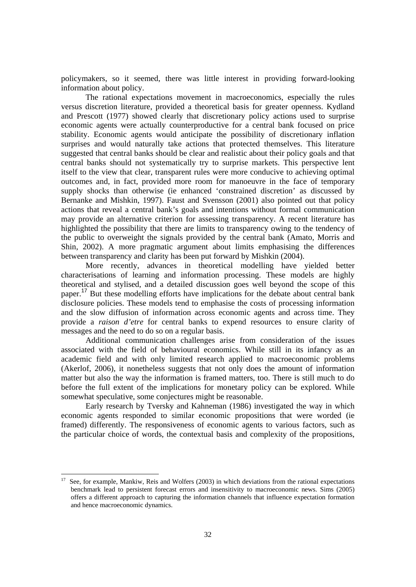policymakers, so it seemed, there was little interest in providing forward-looking information about policy.

The rational expectations movement in macroeconomics, especially the rules versus discretion literature, provided a theoretical basis for greater openness. Kydland and Prescott (1977) showed clearly that discretionary policy actions used to surprise economic agents were actually counterproductive for a central bank focused on price stability. Economic agents would anticipate the possibility of discretionary inflation surprises and would naturally take actions that protected themselves. This literature suggested that central banks should be clear and realistic about their policy goals and that central banks should not systematically try to surprise markets. This perspective lent itself to the view that clear, transparent rules were more conducive to achieving optimal outcomes and, in fact, provided more room for manoeuvre in the face of temporary supply shocks than otherwise (ie enhanced 'constrained discretion' as discussed by Bernanke and Mishkin, 1997). Faust and Svensson (2001) also pointed out that policy actions that reveal a central bank's goals and intentions without formal communication may provide an alternative criterion for assessing transparency. A recent literature has highlighted the possibility that there are limits to transparency owing to the tendency of the public to overweight the signals provided by the central bank (Amato, Morris and Shin, 2002). A more pragmatic argument about limits emphasising the differences between transparency and clarity has been put forward by Mishkin (2004).

More recently, advances in theoretical modelling have yielded better characterisations of learning and information processing. These models are highly theoretical and stylised, and a detailed discussion goes well beyond the scope of this paper.<sup>17</sup> But these modelling efforts have implications for the debate about central bank disclosure policies. These models tend to emphasise the costs of processing information and the slow diffusion of information across economic agents and across time. They provide a *raison d'etre* for central banks to expend resources to ensure clarity of messages and the need to do so on a regular basis.

Additional communication challenges arise from consideration of the issues associated with the field of behavioural economics. While still in its infancy as an academic field and with only limited research applied to macroeconomic problems (Akerlof, 2006), it nonetheless suggests that not only does the amount of information matter but also the way the information is framed matters, too. There is still much to do before the full extent of the implications for monetary policy can be explored. While somewhat speculative, some conjectures might be reasonable.

Early research by Tversky and Kahneman (1986) investigated the way in which economic agents responded to similar economic propositions that were worded (ie framed) differently. The responsiveness of economic agents to various factors, such as the particular choice of words, the contextual basis and complexity of the propositions,

l

<sup>17</sup> See, for example, Mankiw, Reis and Wolfers (2003) in which deviations from the rational expectations benchmark lead to persistent forecast errors and insensitivity to macroeconomic news. Sims (2005) offers a different approach to capturing the information channels that influence expectation formation and hence macroeconomic dynamics.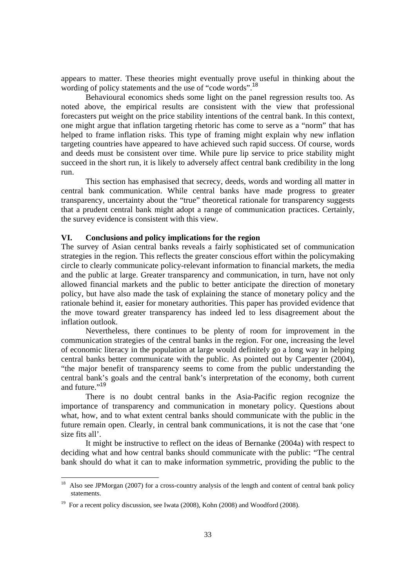appears to matter. These theories might eventually prove useful in thinking about the wording of policy statements and the use of "code words".<sup>18</sup>

Behavioural economics sheds some light on the panel regression results too. As noted above, the empirical results are consistent with the view that professional forecasters put weight on the price stability intentions of the central bank. In this context, one might argue that inflation targeting rhetoric has come to serve as a "norm" that has helped to frame inflation risks. This type of framing might explain why new inflation targeting countries have appeared to have achieved such rapid success. Of course, words and deeds must be consistent over time. While pure lip service to price stability might succeed in the short run, it is likely to adversely affect central bank credibility in the long run.

This section has emphasised that secrecy, deeds, words and wording all matter in central bank communication. While central banks have made progress to greater transparency, uncertainty about the "true" theoretical rationale for transparency suggests that a prudent central bank might adopt a range of communication practices. Certainly, the survey evidence is consistent with this view.

# **VI. Conclusions and policy implications for the region**

The survey of Asian central banks reveals a fairly sophisticated set of communication strategies in the region. This reflects the greater conscious effort within the policymaking circle to clearly communicate policy-relevant information to financial markets, the media and the public at large. Greater transparency and communication, in turn, have not only allowed financial markets and the public to better anticipate the direction of monetary policy, but have also made the task of explaining the stance of monetary policy and the rationale behind it, easier for monetary authorities. This paper has provided evidence that the move toward greater transparency has indeed led to less disagreement about the inflation outlook.

Nevertheless, there continues to be plenty of room for improvement in the communication strategies of the central banks in the region. For one, increasing the level of economic literacy in the population at large would definitely go a long way in helping central banks better communicate with the public. As pointed out by Carpenter (2004), "the major benefit of transparency seems to come from the public understanding the central bank's goals and the central bank's interpretation of the economy, both current and future."<sup>19</sup>

There is no doubt central banks in the Asia-Pacific region recognize the importance of transparency and communication in monetary policy. Questions about what, how, and to what extent central banks should communicate with the public in the future remain open. Clearly, in central bank communications, it is not the case that 'one size fits all'.

It might be instructive to reflect on the ideas of Bernanke (2004a) with respect to deciding what and how central banks should communicate with the public: "The central bank should do what it can to make information symmetric, providing the public to the

 $18$  Also see JPMorgan (2007) for a cross-country analysis of the length and content of central bank policy statements.

<sup>&</sup>lt;sup>19</sup> For a recent policy discussion, see Iwata (2008), Kohn (2008) and Woodford (2008).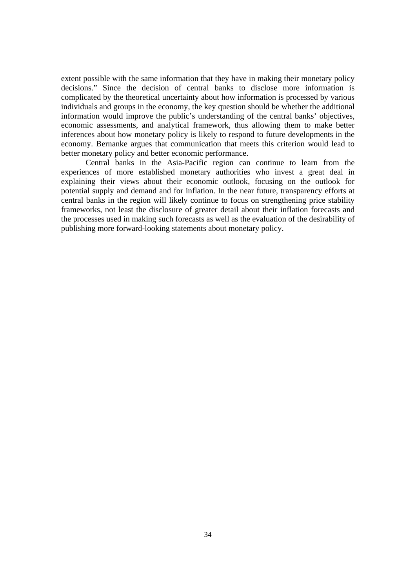extent possible with the same information that they have in making their monetary policy decisions." Since the decision of central banks to disclose more information is complicated by the theoretical uncertainty about how information is processed by various individuals and groups in the economy, the key question should be whether the additional information would improve the public's understanding of the central banks' objectives, economic assessments, and analytical framework, thus allowing them to make better inferences about how monetary policy is likely to respond to future developments in the economy. Bernanke argues that communication that meets this criterion would lead to better monetary policy and better economic performance.

Central banks in the Asia-Pacific region can continue to learn from the experiences of more established monetary authorities who invest a great deal in explaining their views about their economic outlook, focusing on the outlook for potential supply and demand and for inflation. In the near future, transparency efforts at central banks in the region will likely continue to focus on strengthening price stability frameworks, not least the disclosure of greater detail about their inflation forecasts and the processes used in making such forecasts as well as the evaluation of the desirability of publishing more forward-looking statements about monetary policy.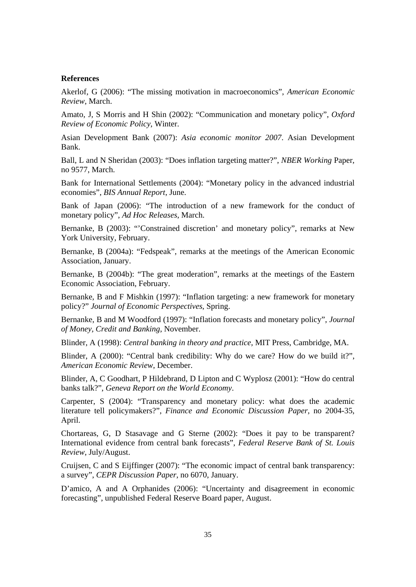#### **References**

Akerlof, G (2006): "The missing motivation in macroeconomics", *American Economic Review*, March.

Amato, J, S Morris and H Shin (2002): "Communication and monetary policy", *Oxford Review of Economic Policy*, Winter.

Asian Development Bank (2007): *Asia economic monitor 2007*. Asian Development Bank.

Ball, L and N Sheridan (2003): "Does inflation targeting matter?", *NBER Working* Paper, no 9577, March.

Bank for International Settlements (2004): "Monetary policy in the advanced industrial economies", *BIS Annual Report*, June.

Bank of Japan (2006): "The introduction of a new framework for the conduct of monetary policy", *Ad Hoc Releases*, March.

Bernanke, B (2003): "Constrained discretion' and monetary policy", remarks at New York University, February.

Bernanke, B (2004a): "Fedspeak", remarks at the meetings of the American Economic Association, January.

Bernanke, B (2004b): "The great moderation", remarks at the meetings of the Eastern Economic Association, February.

Bernanke, B and F Mishkin (1997): "Inflation targeting: a new framework for monetary policy?" *Journal of Economic Perspectives*, Spring.

Bernanke, B and M Woodford (1997): "Inflation forecasts and monetary policy", *Journal of Money, Credit and Banking*, November.

Blinder, A (1998): *Central banking in theory and practice*, MIT Press, Cambridge, MA.

Blinder, A (2000): "Central bank credibility: Why do we care? How do we build it?", *American Economic Review*, December.

Blinder, A, C Goodhart, P Hildebrand, D Lipton and C Wyplosz (2001): "How do central banks talk?", *Geneva Report on the World Economy*.

Carpenter, S (2004): "Transparency and monetary policy: what does the academic literature tell policymakers?", *Finance and Economic Discussion Paper*, no 2004-35, April.

Chortareas, G, D Stasavage and G Sterne (2002): "Does it pay to be transparent? International evidence from central bank forecasts", *Federal Reserve Bank of St. Louis Review*, July/August.

Cruijsen, C and S Eijffinger (2007): "The economic impact of central bank transparency: a survey", *CEPR Discussion Paper*, no 6070, January.

D'amico, A and A Orphanides (2006): "Uncertainty and disagreement in economic forecasting", unpublished Federal Reserve Board paper, August.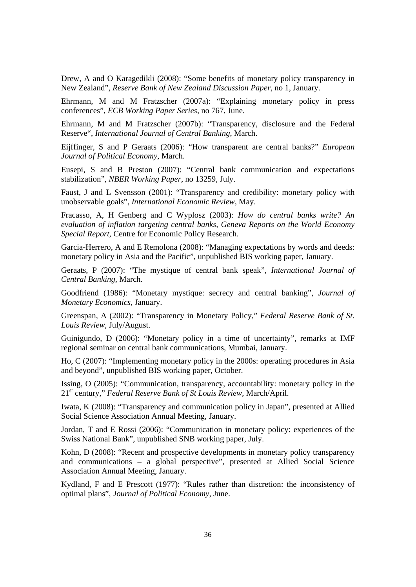Drew, A and O Karagedikli (2008): "Some benefits of monetary policy transparency in New Zealand", *Reserve Bank of New Zealand Discussion Paper*, no 1, January.

Ehrmann, M and M Fratzscher (2007a): "Explaining monetary policy in press conferences", *ECB Working Paper Series*, no 767, June.

Ehrmann, M and M Fratzscher (2007b): "Transparency, disclosure and the Federal Reserve", *International Journal of Central Banking*, March.

Eijffinger, S and P Geraats (2006): "How transparent are central banks?" *European Journal of Political Economy*, March.

Eusepi, S and B Preston (2007): "Central bank communication and expectations stabilization", *NBER Working Paper*, no 13259, July.

Faust, J and L Svensson (2001): "Transparency and credibility: monetary policy with unobservable goals", *International Economic Review*, May.

Fracasso, A, H Genberg and C Wyplosz (2003): *How do central banks write? An evaluation of inflation targeting central banks, Geneva Reports on the World Economy Special Report*, Centre for Economic Policy Research.

Garcia-Herrero, A and E Remolona (2008): "Managing expectations by words and deeds: monetary policy in Asia and the Pacific", unpublished BIS working paper, January.

Geraats, P (2007): "The mystique of central bank speak", *International Journal of Central Banking*, March.

Goodfriend (1986): "Monetary mystique: secrecy and central banking", *Journal of Monetary Economics*, January.

Greenspan, A (2002): "Transparency in Monetary Policy," *Federal Reserve Bank of St. Louis Review*, July/August.

Guinigundo, D (2006): "Monetary policy in a time of uncertainty", remarks at IMF regional seminar on central bank communications, Mumbai, January.

Ho, C (2007): "Implementing monetary policy in the 2000s: operating procedures in Asia and beyond", unpublished BIS working paper, October.

Issing, O (2005): "Communication, transparency, accountability: monetary policy in the 21st century," *Federal Reserve Bank of St Louis Review*, March/April.

Iwata, K (2008): "Transparency and communication policy in Japan", presented at Allied Social Science Association Annual Meeting, January.

Jordan, T and E Rossi (2006): "Communication in monetary policy: experiences of the Swiss National Bank", unpublished SNB working paper, July.

Kohn, D (2008): "Recent and prospective developments in monetary policy transparency and communications – a global perspective", presented at Allied Social Science Association Annual Meeting, January.

Kydland, F and E Prescott (1977): "Rules rather than discretion: the inconsistency of optimal plans", *Journal of Political Economy*, June.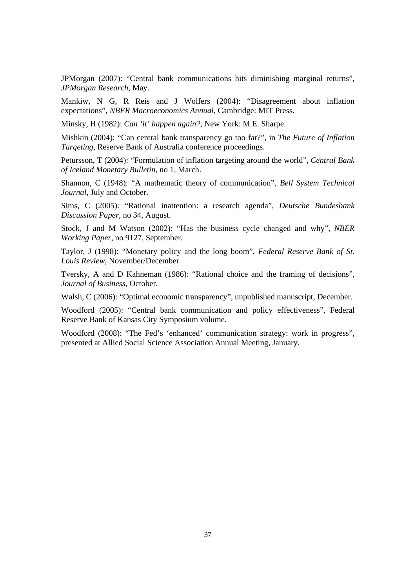JPMorgan (2007): "Central bank communications hits diminishing marginal returns", *JPMorgan Research*, May.

Mankiw, N G, R Reis and J Wolfers (2004): "Disagreement about inflation expectations", *NBER Macroeconomics Annual*, Cambridge: MIT Press.

Minsky, H (1982): *Can 'it' happen again?*, New York: M.E. Sharpe.

Mishkin (2004): "Can central bank transparency go too far?", in *The Future of Inflation Targeting*, Reserve Bank of Australia conference proceedings.

Petursson, T (2004): "Formulation of inflation targeting around the world", *Central Bank of Iceland Monetary Bulletin*, no 1, March.

Shannon, C (1948): "A mathematic theory of communication", *Bell System Technical Journal*, July and October.

Sims, C (2005): "Rational inattention: a research agenda", *Deutsche Bundesbank Discussion Paper*, no 34, August.

Stock, J and M Watson (2002): "Has the business cycle changed and why", *NBER Working Paper*, no 9127, September.

Taylor, J (1998): "Monetary policy and the long boom", *Federal Reserve Bank of St. Louis Review*, November/December.

Tversky, A and D Kahneman (1986): "Rational choice and the framing of decisions", *Journal of Business*, October.

Walsh, C (2006): "Optimal economic transparency", unpublished manuscript, December.

Woodford (2005): "Central bank communication and policy effectiveness", Federal Reserve Bank of Kansas City Symposium volume.

Woodford (2008): "The Fed's 'enhanced' communication strategy: work in progress", presented at Allied Social Science Association Annual Meeting, January.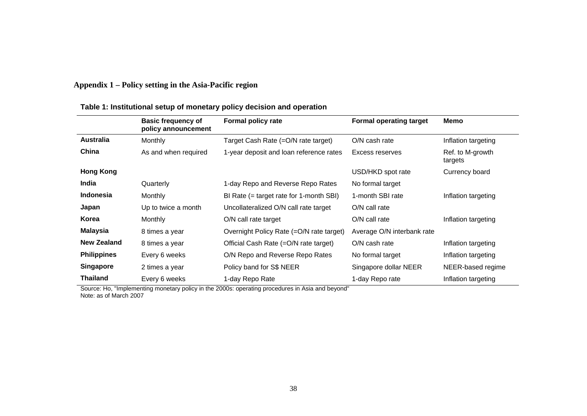# **Appendix 1 – Policy setting in the Asia-Pacific region**

|                    | <b>Basic frequency of</b><br>policy announcement | <b>Formal policy rate</b>                 | <b>Formal operating target</b> | Memo                        |
|--------------------|--------------------------------------------------|-------------------------------------------|--------------------------------|-----------------------------|
| Australia          | Monthly                                          | Target Cash Rate (=O/N rate target)       | O/N cash rate                  | Inflation targeting         |
| China              | As and when required                             | 1-year deposit and loan reference rates   | Excess reserves                | Ref. to M-growth<br>targets |
| <b>Hong Kong</b>   |                                                  |                                           | USD/HKD spot rate              | Currency board              |
| India              | Quarterly                                        | 1-day Repo and Reverse Repo Rates         | No formal target               |                             |
| <b>Indonesia</b>   | Monthly                                          | BI Rate $(=$ target rate for 1-month SBI) | 1-month SBI rate               | Inflation targeting         |
| Japan              | Up to twice a month                              | Uncollateralized O/N call rate target     | O/N call rate                  |                             |
| Korea              | Monthly                                          | O/N call rate target                      | O/N call rate                  | Inflation targeting         |
| <b>Malaysia</b>    | 8 times a year                                   | Overnight Policy Rate (=O/N rate target)  | Average O/N interbank rate     |                             |
| <b>New Zealand</b> | 8 times a year                                   | Official Cash Rate (=O/N rate target)     | O/N cash rate                  | Inflation targeting         |
| <b>Philippines</b> | Every 6 weeks                                    | O/N Repo and Reverse Repo Rates           | No formal target               | Inflation targeting         |
| <b>Singapore</b>   | 2 times a year                                   | Policy band for S\$ NEER                  | Singapore dollar NEER          | NEER-based regime           |
| <b>Thailand</b>    | Every 6 weeks                                    | 1-day Repo Rate                           | 1-day Repo rate                | Inflation targeting         |

# **Table 1: Institutional setup of monetary policy decision and operation**

Source: Ho, "Implementing monetary policy in the 2000s: operating procedures in Asia and beyond" Note: as of March 2007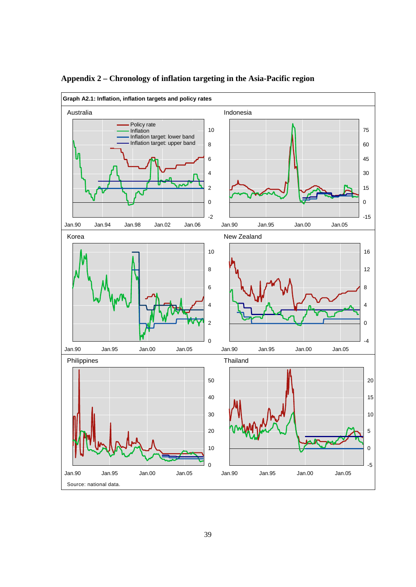

# **Appendix 2 – Chronology of inflation targeting in the Asia-Pacific region**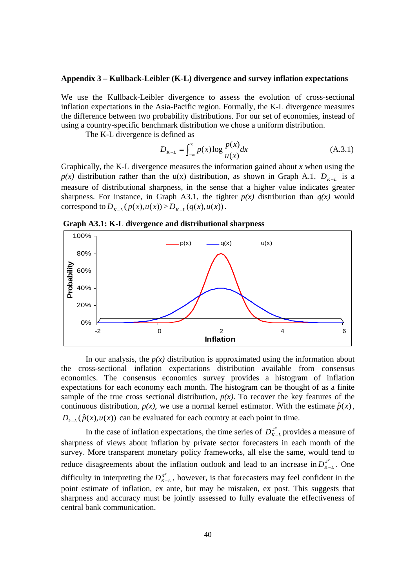#### **Appendix 3 – Kullback-Leibler (K-L) divergence and survey inflation expectations**

We use the Kullback-Leibler divergence to assess the evolution of cross-sectional inflation expectations in the Asia-Pacific region. Formally, the K-L divergence measures the difference between two probability distributions. For our set of economies, instead of using a country-specific benchmark distribution we chose a uniform distribution.

The K-L divergence is defined as

$$
D_{K-L} = \int_{-\infty}^{\infty} p(x) \log \frac{p(x)}{u(x)} dx
$$
 (A.3.1)

Graphically, the K-L divergence measures the information gained about *x* when using the *p(x)* distribution rather than the u(x) distribution, as shown in Graph A.1.  $D_{K-L}$  is a measure of distributional sharpness, in the sense that a higher value indicates greater sharpness. For instance, in Graph A3.1, the tighter  $p(x)$  distribution than  $q(x)$  would correspond to  $D_{K-L}(p(x), u(x)) > D_{K-L}(q(x), u(x))$ .

 **Graph A3.1: K-L divergence and distributional sharpness** 



In our analysis, the  $p(x)$  distribution is approximated using the information about the cross-sectional inflation expectations distribution available from consensus economics. The consensus economics survey provides a histogram of inflation expectations for each economy each month. The histogram can be thought of as a finite sample of the true cross sectional distribution,  $p(x)$ . To recover the key features of the continuous distribution,  $p(x)$ , we use a normal kernel estimator. With the estimate  $\hat{p}(x)$ ,  $D_{k-1}(\hat{p}(x), u(x))$  can be evaluated for each country at each point in time.

In the case of inflation expectations, the time series of  $D_{K-L}^{\pi^e}$  provides a measure of sharpness of views about inflation by private sector forecasters in each month of the survey. More transparent monetary policy frameworks, all else the same, would tend to reduce disagreements about the inflation outlook and lead to an increase in  $D_{K-L}^{\pi^e}$ . One difficulty in interpreting the  $D_{K-L}^{\pi^e}$ , however, is that forecasters may feel confident in the point estimate of inflation, ex ante, but may be mistaken, ex post. This suggests that sharpness and accuracy must be jointly assessed to fully evaluate the effectiveness of central bank communication.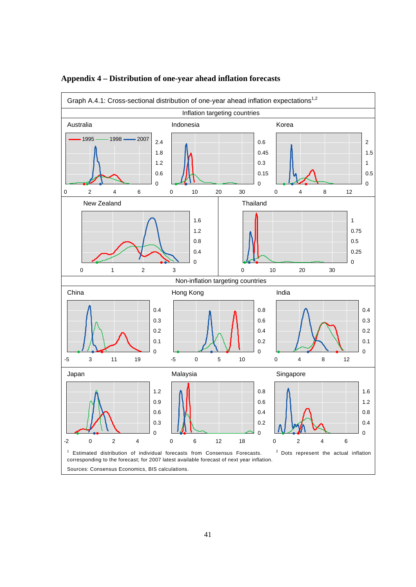

# **Appendix 4 – Distribution of one-year ahead inflation forecasts**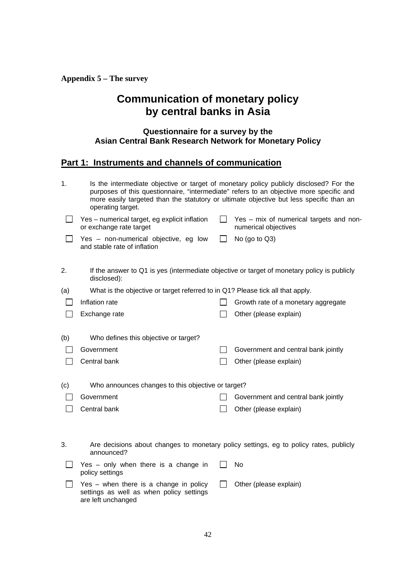**Appendix 5 – The survey** 

# **Communication of monetary policy by central banks in Asia**

# **Questionnaire for a survey by the Asian Central Bank Research Network for Monetary Policy**

# **Part 1: Instruments and channels of communication**

| 1.  | Is the intermediate objective or target of monetary policy publicly disclosed? For the<br>purposes of this questionnaire, "intermediate" refers to an objective more specific and<br>more easily targeted than the statutory or ultimate objective but less specific than an<br>operating target. |         |                                                                                             |
|-----|---------------------------------------------------------------------------------------------------------------------------------------------------------------------------------------------------------------------------------------------------------------------------------------------------|---------|---------------------------------------------------------------------------------------------|
|     | Yes - numerical target, eg explicit inflation<br>or exchange rate target                                                                                                                                                                                                                          | $\Box$  | Yes - mix of numerical targets and non-<br>numerical objectives                             |
|     | Yes - non-numerical objective, eg low<br>and stable rate of inflation                                                                                                                                                                                                                             | $\perp$ | No (go to $Q3$ )                                                                            |
| 2.  | disclosed):                                                                                                                                                                                                                                                                                       |         | If the answer to Q1 is yes (intermediate objective or target of monetary policy is publicly |
| (a) | What is the objective or target referred to in Q1? Please tick all that apply.                                                                                                                                                                                                                    |         |                                                                                             |
|     | Inflation rate                                                                                                                                                                                                                                                                                    |         | Growth rate of a monetary aggregate                                                         |
|     | Exchange rate                                                                                                                                                                                                                                                                                     |         | Other (please explain)                                                                      |
| (b) | Who defines this objective or target?                                                                                                                                                                                                                                                             |         |                                                                                             |
|     | Government                                                                                                                                                                                                                                                                                        |         | Government and central bank jointly                                                         |
|     | Central bank                                                                                                                                                                                                                                                                                      |         | Other (please explain)                                                                      |
| (c) | Who announces changes to this objective or target?                                                                                                                                                                                                                                                |         |                                                                                             |
|     | Government                                                                                                                                                                                                                                                                                        |         | Government and central bank jointly                                                         |
|     | Central bank                                                                                                                                                                                                                                                                                      |         | Other (please explain)                                                                      |
| 3.  | announced?                                                                                                                                                                                                                                                                                        |         | Are decisions about changes to monetary policy settings, eg to policy rates, publicly       |
|     | Yes - only when there is a change in<br>policy settings                                                                                                                                                                                                                                           |         | No                                                                                          |
|     | Yes - when there is a change in policy<br>settings as well as when policy settings<br>are left unchanged                                                                                                                                                                                          |         | Other (please explain)                                                                      |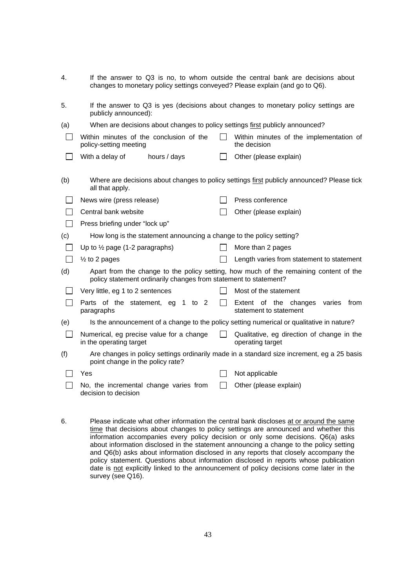| 4.             | If the answer to Q3 is no, to whom outside the central bank are decisions about<br>changes to monetary policy settings conveyed? Please explain (and go to Q6). |              |                                                                                            |
|----------------|-----------------------------------------------------------------------------------------------------------------------------------------------------------------|--------------|--------------------------------------------------------------------------------------------|
| 5.             | If the answer to Q3 is yes (decisions about changes to monetary policy settings are<br>publicly announced):                                                     |              |                                                                                            |
| (a)            | When are decisions about changes to policy settings first publicly announced?                                                                                   |              |                                                                                            |
| $\mathbf{I}$   | Within minutes of the conclusion of the<br>policy-setting meeting                                                                                               |              | Within minutes of the implementation of<br>the decision                                    |
|                | With a delay of<br>hours / days                                                                                                                                 |              | Other (please explain)                                                                     |
| (b)            | all that apply.                                                                                                                                                 |              | Where are decisions about changes to policy settings first publicly announced? Please tick |
|                | News wire (press release)                                                                                                                                       |              | Press conference                                                                           |
|                | Central bank website                                                                                                                                            |              | Other (please explain)                                                                     |
|                | Press briefing under "lock up"                                                                                                                                  |              |                                                                                            |
| (c)            | How long is the statement announcing a change to the policy setting?                                                                                            |              |                                                                                            |
| $\mathbf{I}$   | Up to $\frac{1}{2}$ page (1-2 paragraphs)                                                                                                                       |              | More than 2 pages                                                                          |
| $\mathbf{I}$   | $\frac{1}{2}$ to 2 pages                                                                                                                                        |              | Length varies from statement to statement                                                  |
| (d)            | policy statement ordinarily changes from statement to statement?                                                                                                |              | Apart from the change to the policy setting, how much of the remaining content of the      |
|                | Very little, eg 1 to 2 sentences                                                                                                                                |              | Most of the statement                                                                      |
|                | 1 to $2$<br>Parts of the statement, eg<br>paragraphs                                                                                                            | $\Box$       | Extent of the changes<br>varies<br>from<br>statement to statement                          |
| (e)            | Is the announcement of a change to the policy setting numerical or qualitative in nature?                                                                       |              |                                                                                            |
| $\mathbb{R}^n$ | Numerical, eg precise value for a change<br>in the operating target                                                                                             |              | Qualitative, eg direction of change in the<br>operating target                             |
| (f)            | point change in the policy rate?                                                                                                                                |              | Are changes in policy settings ordinarily made in a standard size increment, eg a 25 basis |
|                | Yes                                                                                                                                                             |              | Not applicable                                                                             |
|                | No, the incremental change varies from<br>decision to decision                                                                                                  | $\mathsf{L}$ | Other (please explain)                                                                     |

6. Please indicate what other information the central bank discloses at or around the same time that decisions about changes to policy settings are announced and whether this information accompanies every policy decision or only some decisions. Q6(a) asks about information disclosed in the statement announcing a change to the policy setting and Q6(b) asks about information disclosed in any reports that closely accompany the policy statement. Questions about information disclosed in reports whose publication date is not explicitly linked to the announcement of policy decisions come later in the survey (see Q16).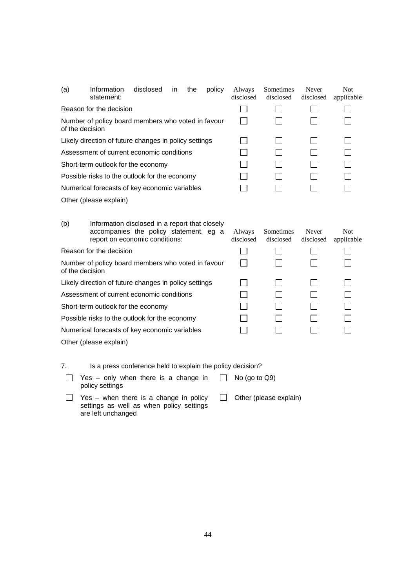| (a) | Information<br>statement:                                                                                                  | disclosed | in | the | policy | Always<br>disclosed | Sometimes<br>disclosed | Never<br>disclosed | <b>Not</b><br>applicable |
|-----|----------------------------------------------------------------------------------------------------------------------------|-----------|----|-----|--------|---------------------|------------------------|--------------------|--------------------------|
|     | Reason for the decision                                                                                                    |           |    |     |        |                     |                        |                    |                          |
|     | Number of policy board members who voted in favour<br>of the decision                                                      |           |    |     |        |                     |                        |                    |                          |
|     | Likely direction of future changes in policy settings                                                                      |           |    |     |        |                     |                        |                    |                          |
|     | Assessment of current economic conditions                                                                                  |           |    |     |        |                     |                        |                    |                          |
|     | Short-term outlook for the economy                                                                                         |           |    |     |        |                     |                        |                    |                          |
|     | Possible risks to the outlook for the economy                                                                              |           |    |     |        |                     |                        |                    |                          |
|     | Numerical forecasts of key economic variables                                                                              |           |    |     |        |                     |                        |                    |                          |
|     | Other (please explain)                                                                                                     |           |    |     |        |                     |                        |                    |                          |
| (b) | Information disclosed in a report that closely<br>accompanies the policy statement, eg a<br>report on economic conditions: |           |    |     |        | Always<br>disclosed | Sometimes<br>disclosed | Never<br>disclosed | <b>Not</b><br>applicable |
|     | Reason for the decision                                                                                                    |           |    |     |        |                     |                        |                    |                          |
|     | Number of policy board members who voted in favour<br>of the decision                                                      |           |    |     |        |                     |                        |                    |                          |
|     | Likely direction of future changes in policy settings                                                                      |           |    |     |        |                     |                        |                    |                          |
|     | Assessment of current economic conditions                                                                                  |           |    |     |        |                     |                        |                    |                          |
|     | Short-term outlook for the economy                                                                                         |           |    |     |        |                     |                        |                    |                          |
|     | Possible risks to the outlook for the economy                                                                              |           |    |     |        |                     |                        |                    |                          |
|     | Numerical forecasts of key economic variables                                                                              |           |    |     |        |                     |                        |                    |                          |
|     | Other (please explain)                                                                                                     |           |    |     |        |                     |                        |                    |                          |
| 7   | Is a press conference held to explain the policy decision?                                                                 |           |    |     |        |                     |                        |                    |                          |

7. Is a press conference held to explain the policy decision?

Yes – only when there is a change in  $\Box$  No (go to Q9) policy settings

 $\Box$  Yes – when there is a change in policy settings as well as when policy settings are left unchanged  $\Box$  Other (please explain)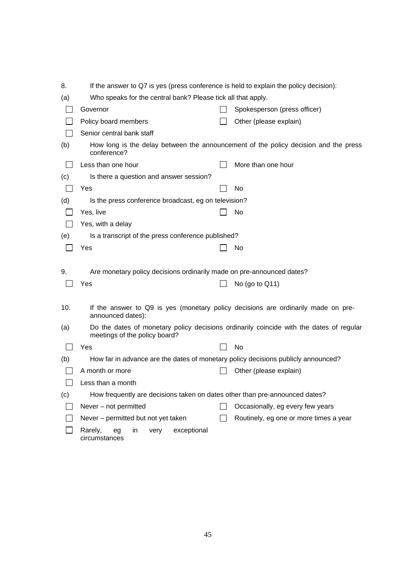| 8.  | If the answer to Q7 is yes (press conference is held to explain the policy decision):                  |                                                                                         |
|-----|--------------------------------------------------------------------------------------------------------|-----------------------------------------------------------------------------------------|
| (a) | Who speaks for the central bank? Please tick all that apply.                                           |                                                                                         |
|     | Governor                                                                                               | Spokesperson (press officer)                                                            |
|     | Policy board members                                                                                   | Other (please explain)                                                                  |
|     | Senior central bank staff                                                                              |                                                                                         |
| (b) | conference?                                                                                            | How long is the delay between the announcement of the policy decision and the press     |
|     | Less than one hour                                                                                     | More than one hour                                                                      |
| (c) | Is there a question and answer session?                                                                |                                                                                         |
|     | Yes                                                                                                    | No                                                                                      |
| (d) | Is the press conference broadcast, eg on television?                                                   |                                                                                         |
|     | Yes, live                                                                                              | No                                                                                      |
|     | Yes, with a delay                                                                                      |                                                                                         |
| (e) | Is a transcript of the press conference published?                                                     |                                                                                         |
|     | Yes                                                                                                    | No                                                                                      |
| 9.  | Are monetary policy decisions ordinarily made on pre-announced dates?<br>Yes                           | No (go to Q11)                                                                          |
| 10. | If the answer to Q9 is yes (monetary policy decisions are ordinarily made on pre-<br>announced dates): |                                                                                         |
| (a) | meetings of the policy board?                                                                          | Do the dates of monetary policy decisions ordinarily coincide with the dates of regular |
|     | Yes                                                                                                    | No                                                                                      |
| (b) | How far in advance are the dates of monetary policy decisions publicly announced?                      |                                                                                         |
|     | A month or more                                                                                        | Other (please explain)                                                                  |
|     | Less than a month                                                                                      |                                                                                         |
| (c) | How frequently are decisions taken on dates other than pre-announced dates?                            |                                                                                         |
|     | Never - not permitted                                                                                  | Occasionally, eg every few years                                                        |
|     | Never – permitted but not yet taken                                                                    | Routinely, eg one or more times a year                                                  |
|     | Rarely,<br>exceptional<br>in<br>eg<br>very<br>circumstances                                            |                                                                                         |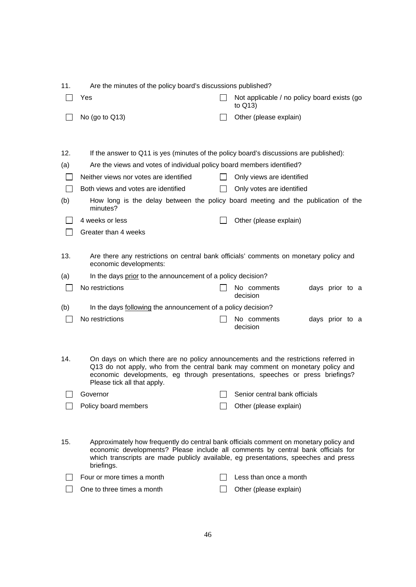| 11. | Are the minutes of the policy board's discussions published?                                                                                                                                                                                                                          |         |                                                                                   |
|-----|---------------------------------------------------------------------------------------------------------------------------------------------------------------------------------------------------------------------------------------------------------------------------------------|---------|-----------------------------------------------------------------------------------|
|     | Yes                                                                                                                                                                                                                                                                                   |         | Not applicable / no policy board exists (go<br>to Q13)                            |
|     | No (go to $Q13$ )                                                                                                                                                                                                                                                                     |         | Other (please explain)                                                            |
|     |                                                                                                                                                                                                                                                                                       |         |                                                                                   |
| 12. | If the answer to Q11 is yes (minutes of the policy board's discussions are published):                                                                                                                                                                                                |         |                                                                                   |
| (a) | Are the views and votes of individual policy board members identified?                                                                                                                                                                                                                |         |                                                                                   |
|     | Neither views nor votes are identified                                                                                                                                                                                                                                                | $\perp$ | Only views are identified                                                         |
|     |                                                                                                                                                                                                                                                                                       |         |                                                                                   |
|     | Both views and votes are identified                                                                                                                                                                                                                                                   |         | Only votes are identified                                                         |
| (b) | minutes?                                                                                                                                                                                                                                                                              |         | How long is the delay between the policy board meeting and the publication of the |
|     | 4 weeks or less                                                                                                                                                                                                                                                                       |         | Other (please explain)                                                            |
|     | Greater than 4 weeks                                                                                                                                                                                                                                                                  |         |                                                                                   |
|     |                                                                                                                                                                                                                                                                                       |         |                                                                                   |
| 13. | Are there any restrictions on central bank officials' comments on monetary policy and<br>economic developments:                                                                                                                                                                       |         |                                                                                   |
| (a) | In the days prior to the announcement of a policy decision?                                                                                                                                                                                                                           |         |                                                                                   |
|     | No restrictions                                                                                                                                                                                                                                                                       |         | No comments<br>days prior to a<br>decision                                        |
| (b) | In the days following the announcement of a policy decision?                                                                                                                                                                                                                          |         |                                                                                   |
|     | No restrictions                                                                                                                                                                                                                                                                       |         | No comments<br>days prior to a<br>decision                                        |
|     |                                                                                                                                                                                                                                                                                       |         |                                                                                   |
| 14. | On days on which there are no policy announcements and the restrictions referred in<br>Q13 do not apply, who from the central bank may comment on monetary policy and<br>economic developments, eg through presentations, speeches or press briefings?<br>Please tick all that apply. |         |                                                                                   |
|     | Governor                                                                                                                                                                                                                                                                              |         | Senior central bank officials                                                     |
|     | Policy board members                                                                                                                                                                                                                                                                  |         | Other (please explain)                                                            |
|     |                                                                                                                                                                                                                                                                                       |         |                                                                                   |
| 15. | Approximately how frequently do central bank officials comment on monetary policy and<br>economic developments? Please include all comments by central bank officials for<br>which transcripts are made publicly available, eg presentations, speeches and press<br>briefings.        |         |                                                                                   |
|     | Four or more times a month                                                                                                                                                                                                                                                            |         | Less than once a month                                                            |
|     | One to three times a month                                                                                                                                                                                                                                                            |         | Other (please explain)                                                            |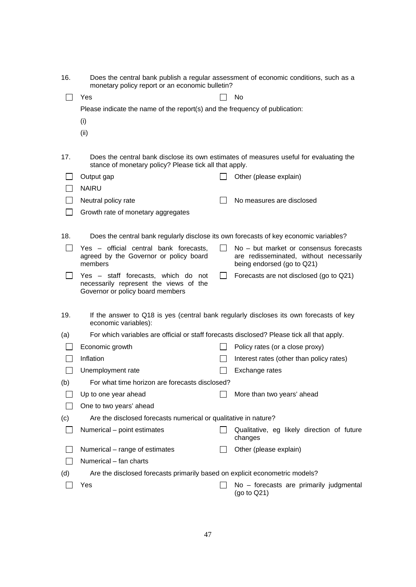| 16. | Does the central bank publish a regular assessment of economic conditions, such as a<br>monetary policy report or an economic bulletin?          |                                                                                                                 |
|-----|--------------------------------------------------------------------------------------------------------------------------------------------------|-----------------------------------------------------------------------------------------------------------------|
|     | Yes                                                                                                                                              | <b>No</b>                                                                                                       |
|     | Please indicate the name of the report(s) and the frequency of publication:                                                                      |                                                                                                                 |
|     | (i)                                                                                                                                              |                                                                                                                 |
|     | (ii)                                                                                                                                             |                                                                                                                 |
|     |                                                                                                                                                  |                                                                                                                 |
| 17. | Does the central bank disclose its own estimates of measures useful for evaluating the<br>stance of monetary policy? Please tick all that apply. |                                                                                                                 |
|     | Output gap                                                                                                                                       | Other (please explain)                                                                                          |
|     | <b>NAIRU</b>                                                                                                                                     |                                                                                                                 |
|     | Neutral policy rate                                                                                                                              | No measures are disclosed                                                                                       |
|     | Growth rate of monetary aggregates                                                                                                               |                                                                                                                 |
|     |                                                                                                                                                  |                                                                                                                 |
| 18. | Does the central bank regularly disclose its own forecasts of key economic variables?                                                            |                                                                                                                 |
|     | Yes - official central bank forecasts,<br>agreed by the Governor or policy board<br>members                                                      | No - but market or consensus forecasts<br>are redisseminated, without necessarily<br>being endorsed (go to Q21) |
|     | Yes - staff forecasts, which do not<br>necessarily represent the views of the<br>Governor or policy board members                                | Forecasts are not disclosed (go to Q21)                                                                         |
| 19. | If the answer to Q18 is yes (central bank regularly discloses its own forecasts of key<br>economic variables):                                   |                                                                                                                 |
| (a) | For which variables are official or staff forecasts disclosed? Please tick all that apply.                                                       |                                                                                                                 |
|     | Economic growth                                                                                                                                  | Policy rates (or a close proxy)                                                                                 |
|     | Inflation                                                                                                                                        | Interest rates (other than policy rates)                                                                        |
|     | Unemployment rate                                                                                                                                | Exchange rates                                                                                                  |
| (b) | For what time horizon are forecasts disclosed?                                                                                                   |                                                                                                                 |
|     | Up to one year ahead                                                                                                                             | More than two years' ahead                                                                                      |
|     | One to two years' ahead                                                                                                                          |                                                                                                                 |
| (c) | Are the disclosed forecasts numerical or qualitative in nature?                                                                                  |                                                                                                                 |
|     | Numerical - point estimates                                                                                                                      | Qualitative, eg likely direction of future<br>changes                                                           |
|     | Numerical – range of estimates                                                                                                                   | Other (please explain)                                                                                          |
|     | Numerical - fan charts                                                                                                                           |                                                                                                                 |
| (d) | Are the disclosed forecasts primarily based on explicit econometric models?                                                                      |                                                                                                                 |
|     | Yes                                                                                                                                              | No - forecasts are primarily judgmental<br>(go to $Q21$ )                                                       |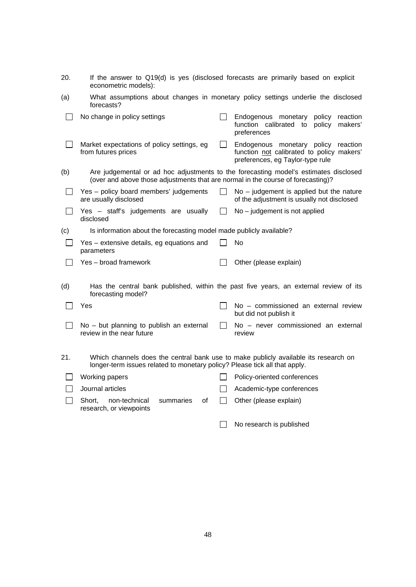| 20.          | econometric models):                                                                                                                                              |         | If the answer to Q19(d) is yes (disclosed forecasts are primarily based on explicit                                  |  |  |  |  |
|--------------|-------------------------------------------------------------------------------------------------------------------------------------------------------------------|---------|----------------------------------------------------------------------------------------------------------------------|--|--|--|--|
| (a)          | forecasts?                                                                                                                                                        |         | What assumptions about changes in monetary policy settings underlie the disclosed                                    |  |  |  |  |
|              | No change in policy settings                                                                                                                                      |         | Endogenous monetary<br>policy<br>reaction<br>function calibrated to<br>policy<br>makers'<br>preferences              |  |  |  |  |
|              | Market expectations of policy settings, eg<br>from futures prices                                                                                                 |         | Endogenous monetary policy reaction<br>function not calibrated to policy makers'<br>preferences, eg Taylor-type rule |  |  |  |  |
| (b)          | (over and above those adjustments that are normal in the course of forecasting)?                                                                                  |         | Are judgemental or ad hoc adjustments to the forecasting model's estimates disclosed                                 |  |  |  |  |
| L.           | Yes - policy board members' judgements<br>are usually disclosed                                                                                                   |         | $No$ – judgement is applied but the nature<br>of the adjustment is usually not disclosed                             |  |  |  |  |
| $\mathsf{L}$ | Yes - staff's judgements are usually<br>disclosed                                                                                                                 | $\perp$ | No - judgement is not applied                                                                                        |  |  |  |  |
| (c)          | Is information about the forecasting model made publicly available?                                                                                               |         |                                                                                                                      |  |  |  |  |
| $\mathbf{I}$ | Yes - extensive details, eg equations and<br>parameters                                                                                                           |         | No                                                                                                                   |  |  |  |  |
|              | Yes – broad framework                                                                                                                                             |         | Other (please explain)                                                                                               |  |  |  |  |
| (d)          | forecasting model?                                                                                                                                                |         | Has the central bank published, within the past five years, an external review of its                                |  |  |  |  |
|              | Yes                                                                                                                                                               |         | No - commissioned an external review<br>but did not publish it                                                       |  |  |  |  |
|              | No - but planning to publish an external<br>review in the near future                                                                                             |         | No - never commissioned an external<br>review                                                                        |  |  |  |  |
| 21.          | Which channels does the central bank use to make publicly available its research on<br>longer-term issues related to monetary policy? Please tick all that apply. |         |                                                                                                                      |  |  |  |  |
|              | Working papers                                                                                                                                                    |         | Policy-oriented conferences                                                                                          |  |  |  |  |
|              | Journal articles                                                                                                                                                  |         | Academic-type conferences                                                                                            |  |  |  |  |
|              | summaries<br>οf<br>Short.<br>non-technical<br>research, or viewpoints                                                                                             |         | Other (please explain)                                                                                               |  |  |  |  |

No research is published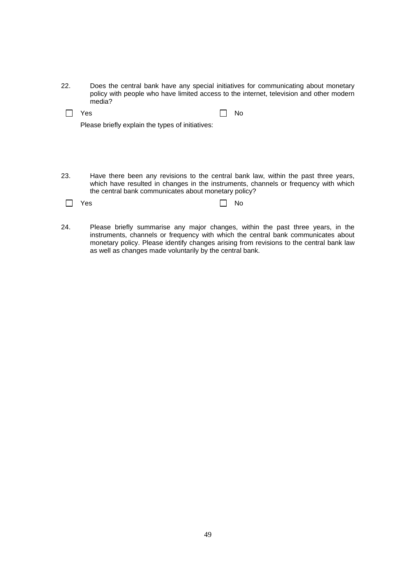22. Does the central bank have any special initiatives for communicating about monetary policy with people who have limited access to the internet, television and other modern media?

Please briefly explain the types of initiatives:

23. Have there been any revisions to the central bank law, within the past three years, which have resulted in changes in the instruments, channels or frequency with which the central bank communicates about monetary policy?

| $\Box$ No |
|-----------|
|           |

24. Please briefly summarise any major changes, within the past three years, in the instruments, channels or frequency with which the central bank communicates about monetary policy. Please identify changes arising from revisions to the central bank law as well as changes made voluntarily by the central bank.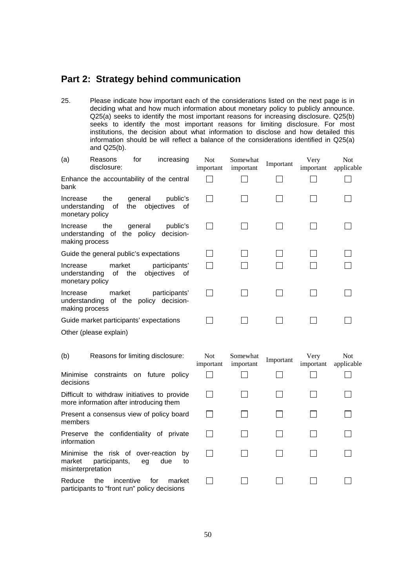# **Part 2: Strategy behind communication**

25. Please indicate how important each of the considerations listed on the next page is in deciding what and how much information about monetary policy to publicly announce. Q25(a) seeks to identify the most important reasons for increasing disclosure. Q25(b) seeks to identify the most important reasons for limiting disclosure. For most institutions, the decision about what information to disclose and how detailed this information should be will reflect a balance of the considerations identified in Q25(a) and Q25(b).

| (a)                                          | Reasons<br>disclosure:                                                                  | for            | increasing                        | Not<br>important        | Somewhat<br>important | Important | Very<br>important | Not<br>applicable        |
|----------------------------------------------|-----------------------------------------------------------------------------------------|----------------|-----------------------------------|-------------------------|-----------------------|-----------|-------------------|--------------------------|
| bank                                         | Enhance the accountability of the central                                               |                |                                   |                         |                       |           |                   |                          |
| Increase<br>understanding<br>monetary policy | the<br>of                                                                               | general<br>the | public's<br>objectives<br>οf      |                         |                       |           |                   |                          |
| Increase<br>making process                   | the<br>understanding of the policy decision-                                            | general        | public's                          |                         |                       |           |                   |                          |
|                                              | Guide the general public's expectations                                                 |                |                                   |                         |                       |           |                   |                          |
| Increase<br>understanding<br>monetary policy | market<br>οf                                                                            | the            | participants'<br>objectives<br>οf |                         |                       |           |                   |                          |
| Increase<br>making process                   | market<br>understanding of the                                                          |                | participants'<br>policy decision- |                         |                       |           |                   |                          |
|                                              | Guide market participants' expectations                                                 |                |                                   |                         |                       |           |                   |                          |
|                                              | Other (please explain)                                                                  |                |                                   |                         |                       |           |                   |                          |
| (b)                                          | Reasons for limiting disclosure:                                                        |                |                                   | <b>Not</b><br>important | Somewhat<br>important | Important | Very<br>important | <b>Not</b><br>applicable |
| Minimise<br>decisions                        |                                                                                         |                | constraints on future policy      |                         |                       |           |                   |                          |
|                                              | Difficult to withdraw initiatives to provide<br>more information after introducing them |                |                                   |                         |                       |           |                   |                          |
| members                                      | Present a consensus view of policy board                                                |                |                                   |                         |                       |           |                   |                          |
| information                                  | Preserve the confidentiality of private                                                 |                |                                   |                         |                       |           |                   |                          |
| market                                       | Minimise the risk of over-reaction<br>participants,<br>misinterpretation                | eg             | by<br>due<br>to                   |                         |                       |           |                   |                          |
| Reduce                                       | the<br>participants to "front run" policy decisions                                     | incentive      | market<br>for                     |                         |                       |           |                   |                          |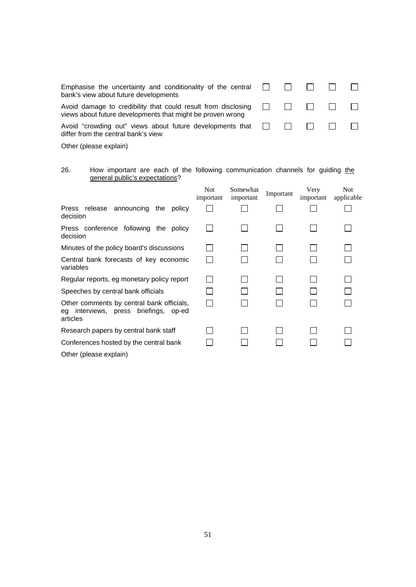| Emphasise the uncertainty and conditionality of the central $\Box$ $\Box$ $\Box$ $\Box$<br>bank's view about future developments                        |  |  |  |
|---------------------------------------------------------------------------------------------------------------------------------------------------------|--|--|--|
| Avoid damage to credibility that could result from disclosing $\Box$ $\Box$ $\Box$ $\Box$<br>views about future developments that might be proven wrong |  |  |  |
| Avoid "crowding out" views about future developments that $\Box$ $\Box$ $\Box$ $\Box$<br>differ from the central bank's view                            |  |  |  |

Other (please explain)

#### 26. How important are each of the following communication channels for guiding the general public's expectations?

|                                                                                                      | <b>Not</b><br>important | Somewhat<br>important | Important | Very<br>important | Not.<br>applicable |
|------------------------------------------------------------------------------------------------------|-------------------------|-----------------------|-----------|-------------------|--------------------|
| Press release announcing the<br>policy<br>decision                                                   |                         |                       |           |                   |                    |
| Press conference following the policy<br>decision                                                    |                         |                       |           |                   |                    |
| Minutes of the policy board's discussions                                                            |                         |                       |           |                   |                    |
| Central bank forecasts of key economic<br>variables                                                  |                         |                       |           |                   |                    |
| Regular reports, eg monetary policy report                                                           |                         |                       |           |                   |                    |
| Speeches by central bank officials                                                                   |                         |                       |           |                   |                    |
| Other comments by central bank officials,<br>interviews, press briefings,<br>op-ed<br>eq<br>articles |                         |                       |           |                   |                    |
| Research papers by central bank staff                                                                |                         |                       |           |                   |                    |
| Conferences hosted by the central bank                                                               |                         |                       |           |                   |                    |
| Other (please explain)                                                                               |                         |                       |           |                   |                    |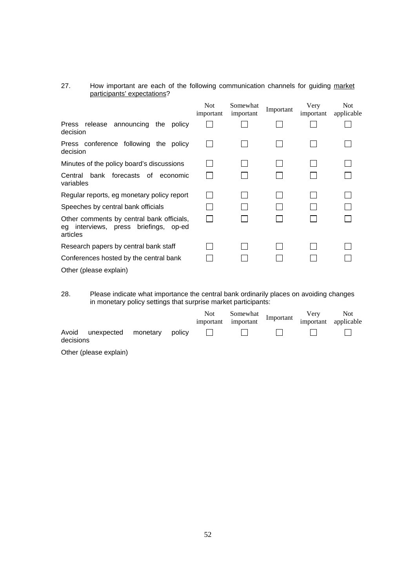#### 27. How important are each of the following communication channels for guiding market participants' expectations?

|                                                                                                      | <b>Not</b><br>important | Somewhat<br>important | Important | Very<br>important | <b>Not</b><br>applicable |
|------------------------------------------------------------------------------------------------------|-------------------------|-----------------------|-----------|-------------------|--------------------------|
| Press release announcing the policy<br>decision                                                      |                         |                       |           |                   |                          |
| Press conference following the policy<br>decision                                                    |                         |                       |           |                   |                          |
| Minutes of the policy board's discussions                                                            |                         |                       |           |                   |                          |
| bank forecasts of economic<br>Central<br>variables                                                   |                         |                       |           |                   |                          |
| Regular reports, eg monetary policy report                                                           |                         |                       |           |                   |                          |
| Speeches by central bank officials                                                                   |                         |                       |           |                   |                          |
| Other comments by central bank officials,<br>interviews, press briefings,<br>op-ed<br>eg<br>articles |                         |                       |           |                   |                          |
| Research papers by central bank staff                                                                |                         |                       |           |                   |                          |
| Conferences hosted by the central bank                                                               |                         |                       |           |                   |                          |
| Other (please explain)                                                                               |                         |                       |           |                   |                          |

28. Please indicate what importance the central bank ordinarily places on avoiding changes in monetary policy settings that surprise market participants:

|           |                                                     |  | Not Somewhat Important Very Not<br>nportant important important applicable<br>important important <sup>Imp</sup> |  |  |
|-----------|-----------------------------------------------------|--|------------------------------------------------------------------------------------------------------------------|--|--|
| decisions | Avoid unexpected monetary policy <b>D D D D D D</b> |  |                                                                                                                  |  |  |
| ____      |                                                     |  |                                                                                                                  |  |  |

Other (please explain)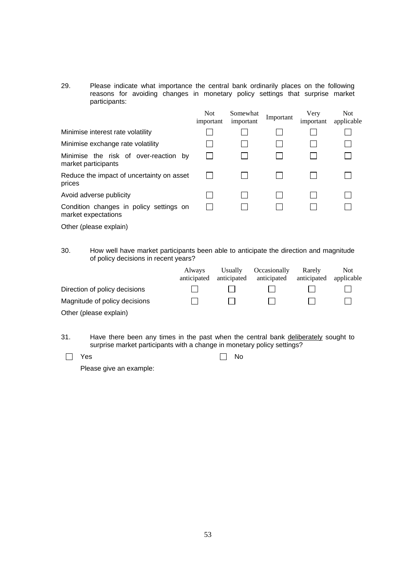29. Please indicate what importance the central bank ordinarily places on the following reasons for avoiding changes in monetary policy settings that surprise market participants:

|                                                                | <b>Not</b><br>important | Somewhat<br>important | Important | Very<br>important | <b>Not</b><br>applicable |
|----------------------------------------------------------------|-------------------------|-----------------------|-----------|-------------------|--------------------------|
| Minimise interest rate volatility                              |                         |                       |           |                   |                          |
| Minimise exchange rate volatility                              |                         |                       |           |                   |                          |
| Minimise the risk of over-reaction by<br>market participants   |                         |                       |           |                   |                          |
| Reduce the impact of uncertainty on asset<br>prices            |                         |                       |           |                   |                          |
| Avoid adverse publicity                                        |                         |                       |           |                   |                          |
| Condition changes in policy settings on<br>market expectations |                         |                       |           |                   |                          |
| Other (please explain)                                         |                         |                       |           |                   |                          |

30. How well have market participants been able to anticipate the direction and magnitude of policy decisions in recent years?

|                               | <b>Always</b><br>anticipated | <b>Usually</b><br>anticipated | Occasionally<br>anticipated | Rarely<br>anticipated | Not.<br>applicable |
|-------------------------------|------------------------------|-------------------------------|-----------------------------|-----------------------|--------------------|
| Direction of policy decisions |                              |                               |                             |                       |                    |
| Magnitude of policy decisions |                              |                               |                             |                       |                    |
| Other (please explain)        |                              |                               |                             |                       |                    |

- 31. Have there been any times in the past when the central bank deliberately sought to surprise market participants with a change in monetary policy settings?
- $\Box$  Yes  $\Box$  No

Please give an example: